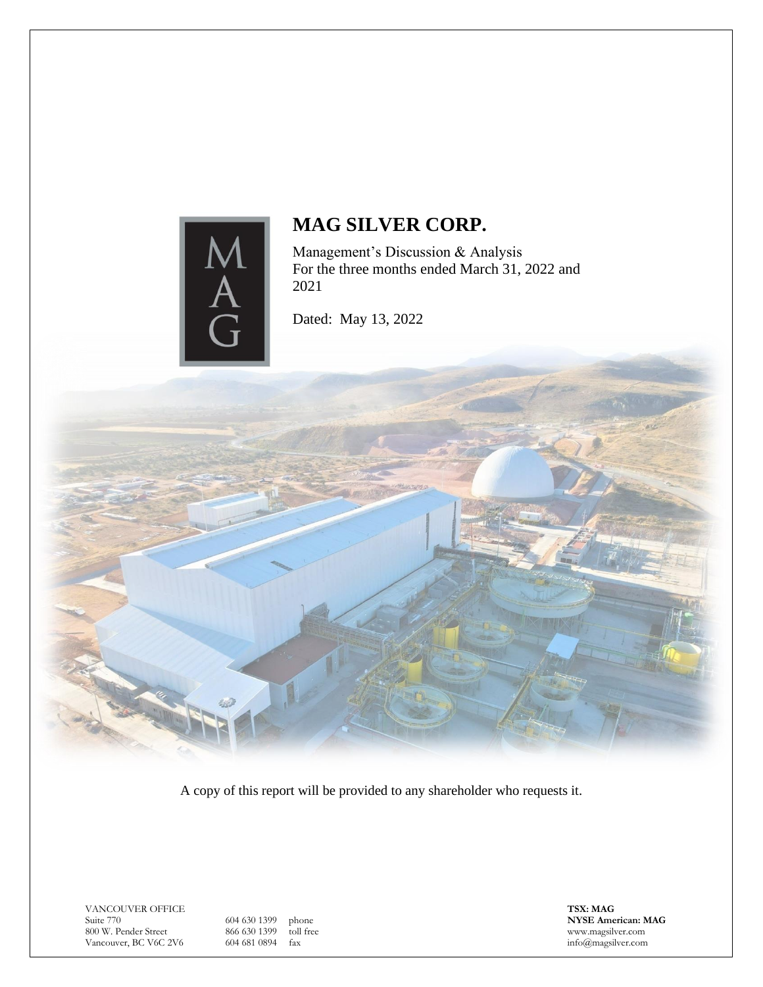

Management's Discussion & Analysis For the three months ended March 31, 2022 and 2021

Dated: May 13, 2022

A copy of this report will be provided to any shareholder who requests it.

VANCOUVER OFFICE Suite 770 800 W. Pender Street Vancouver, BC V6C 2V6

604 630 1399 phone<br>866 630 1399 toll free 866 630 1399 604 681 0894 fax

**TSX: MAG NYSE American: MAG** www.magsilver.com info@magsilver.com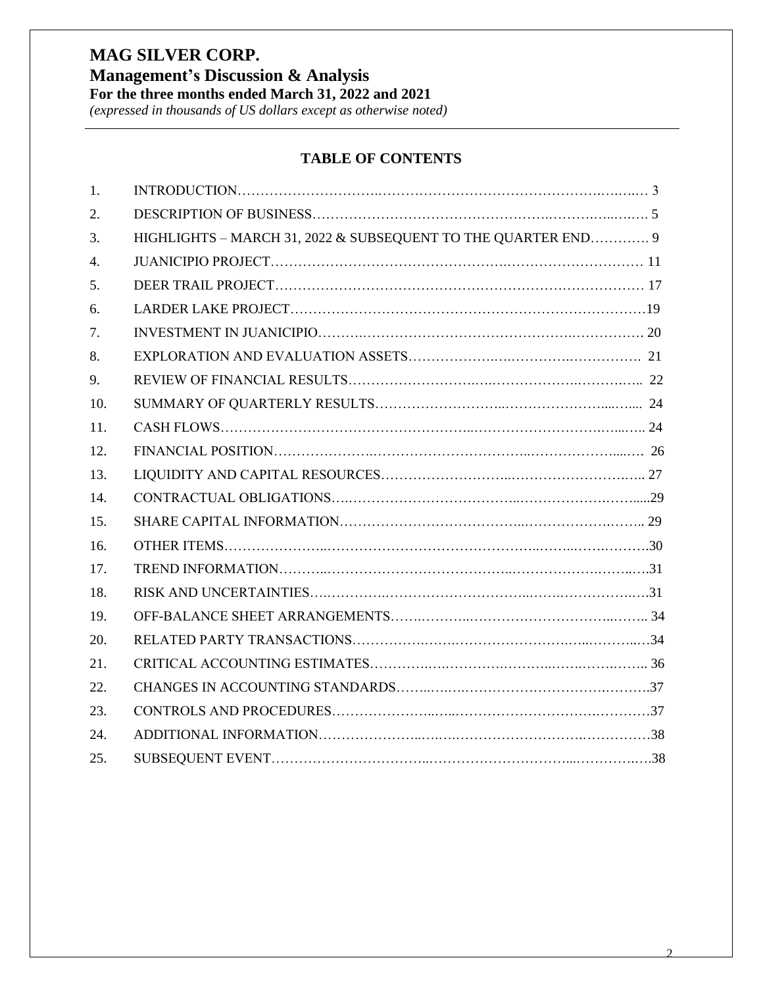*(expressed in thousands of US dollars except as otherwise noted)*

## **TABLE OF CONTENTS**

| $\mathbf{1}$ .   |                                                               |  |
|------------------|---------------------------------------------------------------|--|
| 2.               |                                                               |  |
| 3.               | HIGHLIGHTS - MARCH 31, 2022 & SUBSEQUENT TO THE QUARTER END 9 |  |
| $\overline{4}$ . |                                                               |  |
| 5.               |                                                               |  |
| 6.               |                                                               |  |
| 7.               |                                                               |  |
| 8.               |                                                               |  |
| 9.               |                                                               |  |
| 10.              |                                                               |  |
| 11.              |                                                               |  |
| 12.              |                                                               |  |
| 13.              |                                                               |  |
| 14.              |                                                               |  |
| 15.              |                                                               |  |
| 16.              |                                                               |  |
| 17.              |                                                               |  |
| 18.              |                                                               |  |
| 19.              |                                                               |  |
| 20.              |                                                               |  |
| 21.              |                                                               |  |
| 22.              |                                                               |  |
| 23.              |                                                               |  |
| 24.              |                                                               |  |
| 25.              |                                                               |  |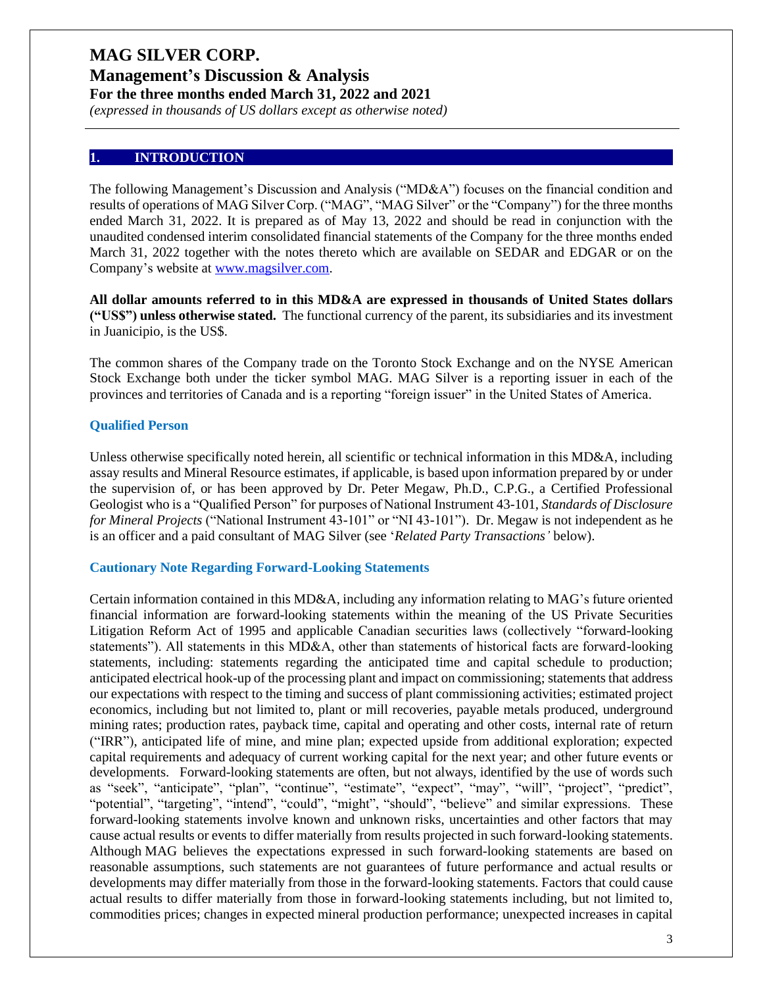**Management's Discussion & Analysis For the three months ended March 31, 2022 and 2021**

*(expressed in thousands of US dollars except as otherwise noted)*

#### **1. INTRODUCTION**

The following Management's Discussion and Analysis ("MD&A") focuses on the financial condition and results of operations of MAG Silver Corp. ("MAG", "MAG Silver" or the "Company") for the three months ended March 31, 2022. It is prepared as of May 13, 2022 and should be read in conjunction with the unaudited condensed interim consolidated financial statements of the Company for the three months ended March 31, 2022 together with the notes thereto which are available on SEDAR and EDGAR or on the Company's website at [www.magsilver.com.](http://www.magsilver.com/)

**All dollar amounts referred to in this MD&A are expressed in thousands of United States dollars ("US\$") unless otherwise stated.** The functional currency of the parent, its subsidiaries and its investment in Juanicipio, is the US\$.

The common shares of the Company trade on the Toronto Stock Exchange and on the NYSE American Stock Exchange both under the ticker symbol MAG. MAG Silver is a reporting issuer in each of the provinces and territories of Canada and is a reporting "foreign issuer" in the United States of America.

#### **Qualified Person**

Unless otherwise specifically noted herein, all scientific or technical information in this MD&A, including assay results and Mineral Resource estimates, if applicable, is based upon information prepared by or under the supervision of, or has been approved by Dr. Peter Megaw, Ph.D., C.P.G., a Certified Professional Geologist who is a "Qualified Person" for purposes of National Instrument 43-101, *Standards of Disclosure for Mineral Projects* ("National Instrument 43-101" or "NI 43-101"). Dr. Megaw is not independent as he is an officer and a paid consultant of MAG Silver (see '*Related Party Transactions'* below).

#### **Cautionary Note Regarding Forward-Looking Statements**

Certain information contained in this MD&A, including any information relating to MAG's future oriented financial information are forward-looking statements within the meaning of the US Private Securities Litigation Reform Act of 1995 and applicable Canadian securities laws (collectively "forward-looking statements"). All statements in this MD&A, other than statements of historical facts are forward-looking statements, including: statements regarding the anticipated time and capital schedule to production; anticipated electrical hook-up of the processing plant and impact on commissioning; statements that address our expectations with respect to the timing and success of plant commissioning activities; estimated project economics, including but not limited to, plant or mill recoveries, payable metals produced, underground mining rates; production rates, payback time, capital and operating and other costs, internal rate of return ("IRR"), anticipated life of mine, and mine plan; expected upside from additional exploration; expected capital requirements and adequacy of current working capital for the next year; and other future events or developments. Forward-looking statements are often, but not always, identified by the use of words such as "seek", "anticipate", "plan", "continue", "estimate", "expect", "may", "will", "project", "predict", "potential", "targeting", "intend", "could", "might", "should", "believe" and similar expressions. These forward-looking statements involve known and unknown risks, uncertainties and other factors that may cause actual results or events to differ materially from results projected in such forward-looking statements. Although MAG believes the expectations expressed in such forward-looking statements are based on reasonable assumptions, such statements are not guarantees of future performance and actual results or developments may differ materially from those in the forward-looking statements. Factors that could cause actual results to differ materially from those in forward-looking statements including, but not limited to, commodities prices; changes in expected mineral production performance; unexpected increases in capital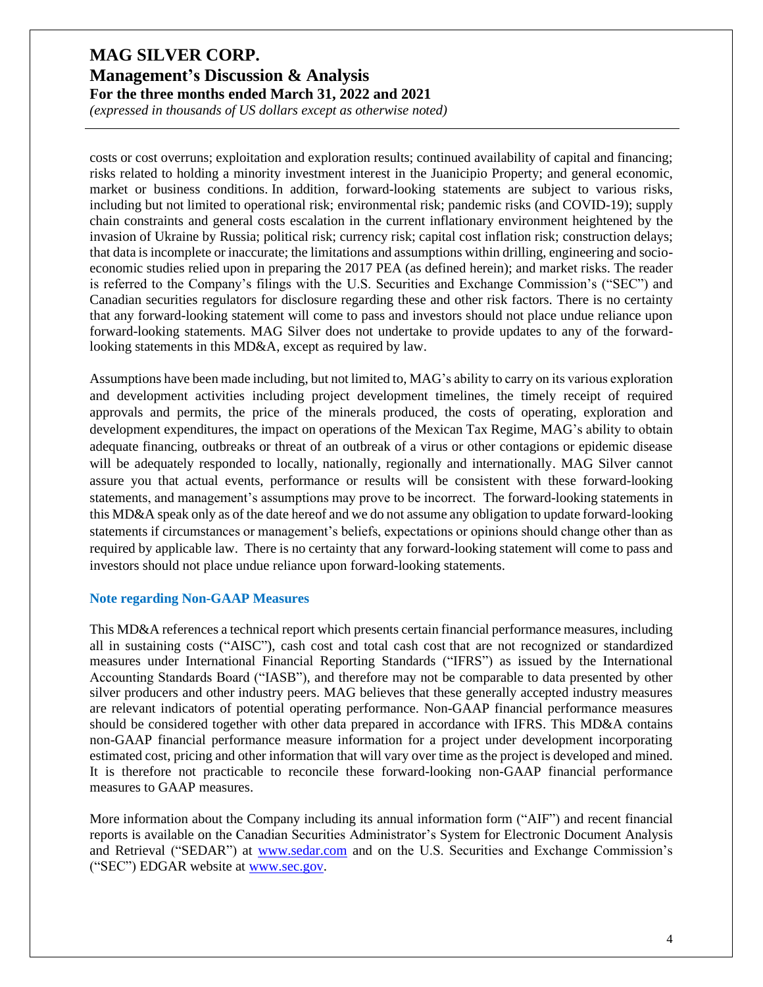*(expressed in thousands of US dollars except as otherwise noted)*

costs or cost overruns; exploitation and exploration results; continued availability of capital and financing; risks related to holding a minority investment interest in the Juanicipio Property; and general economic, market or business conditions. In addition, forward-looking statements are subject to various risks, including but not limited to operational risk; environmental risk; pandemic risks (and COVID-19); supply chain constraints and general costs escalation in the current inflationary environment heightened by the invasion of Ukraine by Russia; political risk; currency risk; capital cost inflation risk; construction delays; that data is incomplete or inaccurate; the limitations and assumptions within drilling, engineering and socioeconomic studies relied upon in preparing the 2017 PEA (as defined herein); and market risks. The reader is referred to the Company's filings with the U.S. Securities and Exchange Commission's ("SEC") and Canadian securities regulators for disclosure regarding these and other risk factors. There is no certainty that any forward-looking statement will come to pass and investors should not place undue reliance upon forward-looking statements. MAG Silver does not undertake to provide updates to any of the forwardlooking statements in this MD&A, except as required by law.

Assumptions have been made including, but not limited to, MAG's ability to carry on its various exploration and development activities including project development timelines, the timely receipt of required approvals and permits, the price of the minerals produced, the costs of operating, exploration and development expenditures, the impact on operations of the Mexican Tax Regime, MAG's ability to obtain adequate financing, outbreaks or threat of an outbreak of a virus or other contagions or epidemic disease will be adequately responded to locally, nationally, regionally and internationally. MAG Silver cannot assure you that actual events, performance or results will be consistent with these forward-looking statements, and management's assumptions may prove to be incorrect. The forward-looking statements in this MD&A speak only as of the date hereof and we do not assume any obligation to update forward-looking statements if circumstances or management's beliefs, expectations or opinions should change other than as required by applicable law. There is no certainty that any forward-looking statement will come to pass and investors should not place undue reliance upon forward-looking statements.

#### **Note regarding Non-GAAP Measures**

This MD&A references a technical report which presents certain financial performance measures, including all in sustaining costs ("AISC"), cash cost and total cash cost that are not recognized or standardized measures under International Financial Reporting Standards ("IFRS") as issued by the International Accounting Standards Board ("IASB"), and therefore may not be comparable to data presented by other silver producers and other industry peers. MAG believes that these generally accepted industry measures are relevant indicators of potential operating performance. Non-GAAP financial performance measures should be considered together with other data prepared in accordance with IFRS. This MD&A contains non-GAAP financial performance measure information for a project under development incorporating estimated cost, pricing and other information that will vary over time as the project is developed and mined. It is therefore not practicable to reconcile these forward-looking non-GAAP financial performance measures to GAAP measures.

More information about the Company including its annual information form ("AIF") and recent financial reports is available on the Canadian Securities Administrator's System for Electronic Document Analysis and Retrieval ("SEDAR") at [www.sedar.com](http://www.sedar.com/) and on the U.S. Securities and Exchange Commission's ("SEC") EDGAR website at [www.sec.gov.](http://www.sec.gov/)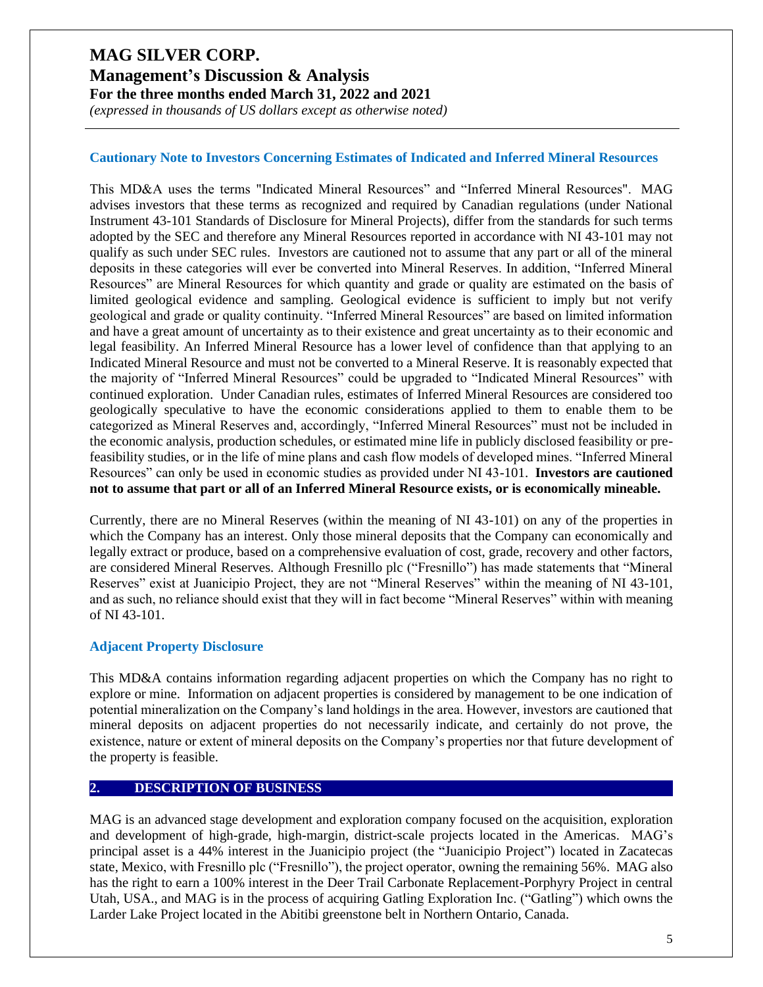## **Management's Discussion & Analysis For the three months ended March 31, 2022 and 2021**

*(expressed in thousands of US dollars except as otherwise noted)*

#### **Cautionary Note to Investors Concerning Estimates of Indicated and Inferred Mineral Resources**

This MD&A uses the terms "Indicated Mineral Resources" and "Inferred Mineral Resources". MAG advises investors that these terms as recognized and required by Canadian regulations (under National Instrument 43-101 Standards of Disclosure for Mineral Projects), differ from the standards for such terms adopted by the SEC and therefore any Mineral Resources reported in accordance with NI 43-101 may not qualify as such under SEC rules. Investors are cautioned not to assume that any part or all of the mineral deposits in these categories will ever be converted into Mineral Reserves. In addition, "Inferred Mineral Resources" are Mineral Resources for which quantity and grade or quality are estimated on the basis of limited geological evidence and sampling. Geological evidence is sufficient to imply but not verify geological and grade or quality continuity. "Inferred Mineral Resources" are based on limited information and have a great amount of uncertainty as to their existence and great uncertainty as to their economic and legal feasibility. An Inferred Mineral Resource has a lower level of confidence than that applying to an Indicated Mineral Resource and must not be converted to a Mineral Reserve. It is reasonably expected that the majority of "Inferred Mineral Resources" could be upgraded to "Indicated Mineral Resources" with continued exploration. Under Canadian rules, estimates of Inferred Mineral Resources are considered too geologically speculative to have the economic considerations applied to them to enable them to be categorized as Mineral Reserves and, accordingly, "Inferred Mineral Resources" must not be included in the economic analysis, production schedules, or estimated mine life in publicly disclosed feasibility or prefeasibility studies, or in the life of mine plans and cash flow models of developed mines. "Inferred Mineral Resources" can only be used in economic studies as provided under NI 43-101. **Investors are cautioned not to assume that part or all of an Inferred Mineral Resource exists, or is economically mineable.**

Currently, there are no Mineral Reserves (within the meaning of NI 43-101) on any of the properties in which the Company has an interest. Only those mineral deposits that the Company can economically and legally extract or produce, based on a comprehensive evaluation of cost, grade, recovery and other factors, are considered Mineral Reserves. Although Fresnillo plc ("Fresnillo") has made statements that "Mineral Reserves" exist at Juanicipio Project, they are not "Mineral Reserves" within the meaning of NI 43-101, and as such, no reliance should exist that they will in fact become "Mineral Reserves" within with meaning of NI 43-101.

#### **Adjacent Property Disclosure**

This MD&A contains information regarding adjacent properties on which the Company has no right to explore or mine. Information on adjacent properties is considered by management to be one indication of potential mineralization on the Company's land holdings in the area. However, investors are cautioned that mineral deposits on adjacent properties do not necessarily indicate, and certainly do not prove, the existence, nature or extent of mineral deposits on the Company's properties nor that future development of the property is feasible.

#### **2. DESCRIPTION OF BUSINESS**

MAG is an advanced stage development and exploration company focused on the acquisition, exploration and development of high-grade, high-margin, district-scale projects located in the Americas. MAG's principal asset is a 44% interest in the Juanicipio project (the "Juanicipio Project") located in Zacatecas state, Mexico, with Fresnillo plc ("Fresnillo"), the project operator, owning the remaining 56%. MAG also has the right to earn a 100% interest in the Deer Trail Carbonate Replacement-Porphyry Project in central Utah, USA., and MAG is in the process of acquiring Gatling Exploration Inc. ("Gatling") which owns the Larder Lake Project located in the Abitibi greenstone belt in Northern Ontario, Canada.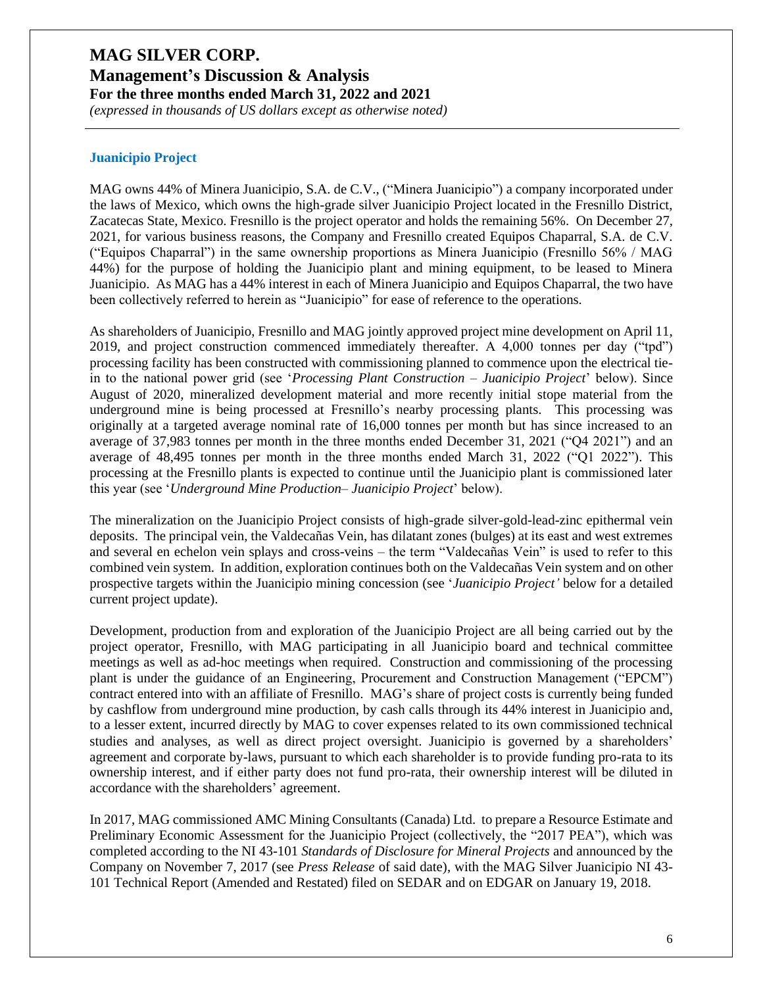**Management's Discussion & Analysis**

**For the three months ended March 31, 2022 and 2021** *(expressed in thousands of US dollars except as otherwise noted)*

#### **Juanicipio Project**

MAG owns 44% of Minera Juanicipio, S.A. de C.V., ("Minera Juanicipio") a company incorporated under the laws of Mexico, which owns the high-grade silver Juanicipio Project located in the Fresnillo District, Zacatecas State, Mexico. Fresnillo is the project operator and holds the remaining 56%. On December 27, 2021, for various business reasons, the Company and Fresnillo created Equipos Chaparral, S.A. de C.V. ("Equipos Chaparral") in the same ownership proportions as Minera Juanicipio (Fresnillo 56% / MAG 44%) for the purpose of holding the Juanicipio plant and mining equipment, to be leased to Minera Juanicipio. As MAG has a 44% interest in each of Minera Juanicipio and Equipos Chaparral, the two have been collectively referred to herein as "Juanicipio" for ease of reference to the operations.

As shareholders of Juanicipio, Fresnillo and MAG jointly approved project mine development on April 11, 2019, and project construction commenced immediately thereafter. A 4,000 tonnes per day ("tpd") processing facility has been constructed with commissioning planned to commence upon the electrical tiein to the national power grid (see '*Processing Plant Construction – Juanicipio Project*' below). Since August of 2020, mineralized development material and more recently initial stope material from the underground mine is being processed at Fresnillo's nearby processing plants. This processing was originally at a targeted average nominal rate of 16,000 tonnes per month but has since increased to an average of 37,983 tonnes per month in the three months ended December 31, 2021 ("Q4 2021") and an average of 48,495 tonnes per month in the three months ended March 31, 2022 ("Q1 2022"). This processing at the Fresnillo plants is expected to continue until the Juanicipio plant is commissioned later this year (see '*Underground Mine Production– Juanicipio Project*' below).

The mineralization on the Juanicipio Project consists of high-grade silver-gold-lead-zinc epithermal vein deposits. The principal vein, the Valdecañas Vein, has dilatant zones (bulges) at its east and west extremes and several en echelon vein splays and cross-veins – the term "Valdecañas Vein" is used to refer to this combined vein system. In addition, exploration continues both on the Valdecañas Vein system and on other prospective targets within the Juanicipio mining concession (see '*Juanicipio Project'* below for a detailed current project update).

Development, production from and exploration of the Juanicipio Project are all being carried out by the project operator, Fresnillo, with MAG participating in all Juanicipio board and technical committee meetings as well as ad-hoc meetings when required. Construction and commissioning of the processing plant is under the guidance of an Engineering, Procurement and Construction Management ("EPCM") contract entered into with an affiliate of Fresnillo. MAG's share of project costs is currently being funded by cashflow from underground mine production, by cash calls through its 44% interest in Juanicipio and, to a lesser extent, incurred directly by MAG to cover expenses related to its own commissioned technical studies and analyses, as well as direct project oversight. Juanicipio is governed by a shareholders' agreement and corporate by-laws, pursuant to which each shareholder is to provide funding pro-rata to its ownership interest, and if either party does not fund pro-rata, their ownership interest will be diluted in accordance with the shareholders' agreement.

In 2017, MAG commissioned AMC Mining Consultants (Canada) Ltd. to prepare a Resource Estimate and Preliminary Economic Assessment for the Juanicipio Project (collectively, the "2017 PEA"), which was completed according to the NI 43-101 *Standards of Disclosure for Mineral Projects* and announced by the Company on November 7, 2017 (see *Press Release* of said date), with the MAG Silver Juanicipio NI 43- 101 Technical Report (Amended and Restated) filed on SEDAR and on EDGAR on January 19, 2018.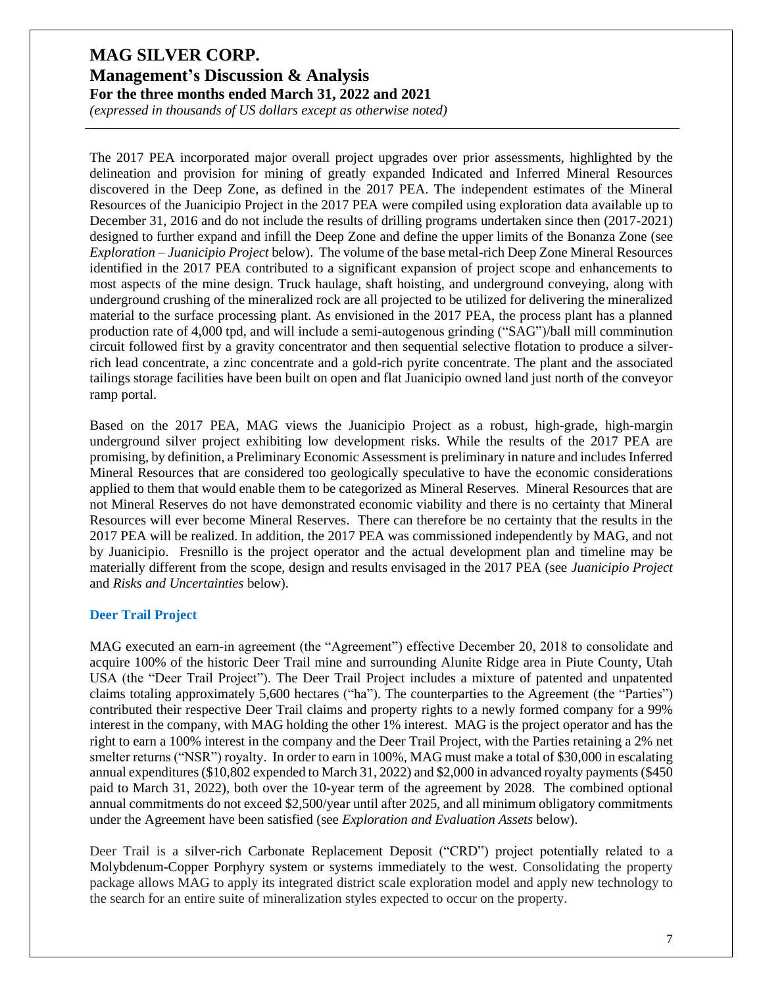*(expressed in thousands of US dollars except as otherwise noted)*

The 2017 PEA incorporated major overall project upgrades over prior assessments, highlighted by the delineation and provision for mining of greatly expanded Indicated and Inferred Mineral Resources discovered in the Deep Zone, as defined in the 2017 PEA. The independent estimates of the Mineral Resources of the Juanicipio Project in the 2017 PEA were compiled using exploration data available up to December 31, 2016 and do not include the results of drilling programs undertaken since then (2017-2021) designed to further expand and infill the Deep Zone and define the upper limits of the Bonanza Zone (see *Exploration – Juanicipio Project* below). The volume of the base metal-rich Deep Zone Mineral Resources identified in the 2017 PEA contributed to a significant expansion of project scope and enhancements to most aspects of the mine design. Truck haulage, shaft hoisting, and underground conveying, along with underground crushing of the mineralized rock are all projected to be utilized for delivering the mineralized material to the surface processing plant. As envisioned in the 2017 PEA, the process plant has a planned production rate of 4,000 tpd, and will include a semi-autogenous grinding ("SAG")/ball mill comminution circuit followed first by a gravity concentrator and then sequential selective flotation to produce a silverrich lead concentrate, a zinc concentrate and a gold-rich pyrite concentrate. The plant and the associated tailings storage facilities have been built on open and flat Juanicipio owned land just north of the conveyor ramp portal.

Based on the 2017 PEA, MAG views the Juanicipio Project as a robust, high-grade, high-margin underground silver project exhibiting low development risks. While the results of the 2017 PEA are promising, by definition, a Preliminary Economic Assessment is preliminary in nature and includes Inferred Mineral Resources that are considered too geologically speculative to have the economic considerations applied to them that would enable them to be categorized as Mineral Reserves. Mineral Resources that are not Mineral Reserves do not have demonstrated economic viability and there is no certainty that Mineral Resources will ever become Mineral Reserves. There can therefore be no certainty that the results in the 2017 PEA will be realized. In addition, the 2017 PEA was commissioned independently by MAG, and not by Juanicipio. Fresnillo is the project operator and the actual development plan and timeline may be materially different from the scope, design and results envisaged in the 2017 PEA (see *Juanicipio Project* and *Risks and Uncertainties* below).

#### **Deer Trail Project**

MAG executed an earn-in agreement (the "Agreement") effective December 20, 2018 to consolidate and acquire 100% of the historic Deer Trail mine and surrounding Alunite Ridge area in Piute County, Utah USA (the "Deer Trail Project"). The Deer Trail Project includes a mixture of patented and unpatented claims totaling approximately 5,600 hectares ("ha"). The counterparties to the Agreement (the "Parties") contributed their respective Deer Trail claims and property rights to a newly formed company for a 99% interest in the company, with MAG holding the other 1% interest. MAG is the project operator and has the right to earn a 100% interest in the company and the Deer Trail Project, with the Parties retaining a 2% net smelter returns ("NSR") royalty. In order to earn in 100%, MAG must make a total of \$30,000 in escalating annual expenditures (\$10,802 expended to March 31, 2022) and \$2,000 in advanced royalty payments (\$450 paid to March 31, 2022), both over the 10-year term of the agreement by 2028. The combined optional annual commitments do not exceed \$2,500/year until after 2025, and all minimum obligatory commitments under the Agreement have been satisfied (see *Exploration and Evaluation Assets* below).

Deer Trail is a silver-rich Carbonate Replacement Deposit ("CRD") project potentially related to a Molybdenum-Copper Porphyry system or systems immediately to the west. Consolidating the property package allows MAG to apply its integrated district scale exploration model and apply new technology to the search for an entire suite of mineralization styles expected to occur on the property.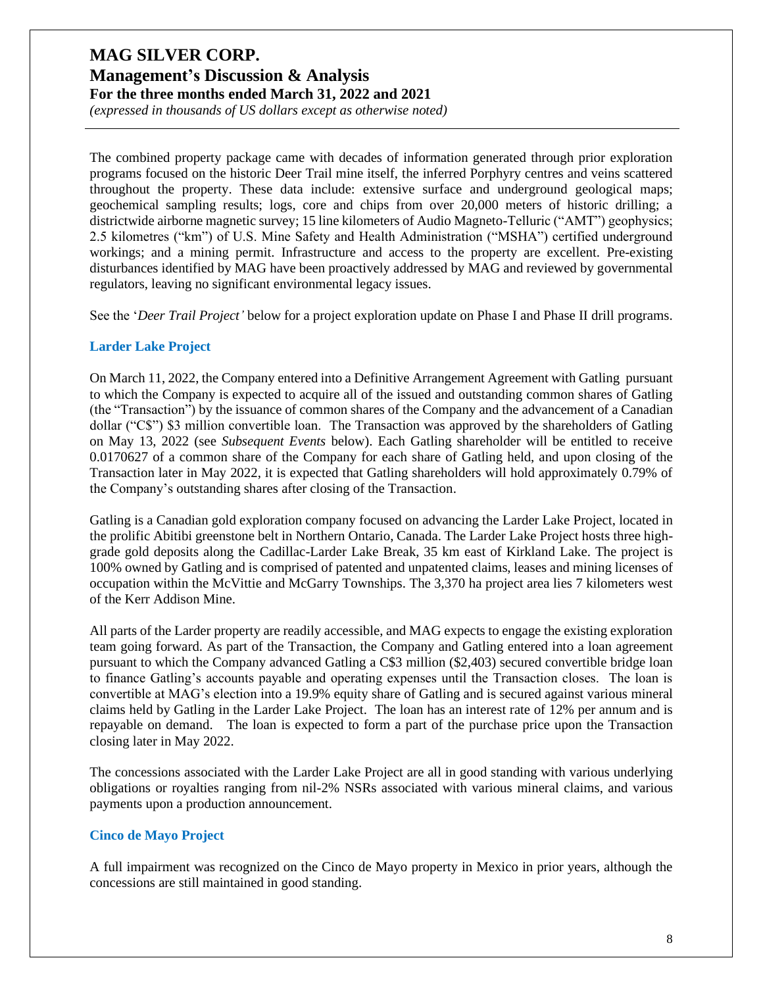*(expressed in thousands of US dollars except as otherwise noted)*

The combined property package came with decades of information generated through prior exploration programs focused on the historic Deer Trail mine itself, the inferred Porphyry centres and veins scattered throughout the property. These data include: extensive surface and underground geological maps; geochemical sampling results; logs, core and chips from over 20,000 meters of historic drilling; a districtwide airborne magnetic survey; 15 line kilometers of Audio Magneto-Telluric ("AMT") geophysics; 2.5 kilometres ("km") of U.S. Mine Safety and Health Administration ("MSHA") certified underground workings; and a mining permit. Infrastructure and access to the property are excellent. Pre-existing disturbances identified by MAG have been proactively addressed by MAG and reviewed by governmental regulators, leaving no significant environmental legacy issues.

See the '*Deer Trail Project'* below for a project exploration update on Phase I and Phase II drill programs.

#### **Larder Lake Project**

On March 11, 2022, the Company entered into a Definitive Arrangement Agreement with Gatling pursuant to which the Company is expected to acquire all of the issued and outstanding common shares of Gatling (the "Transaction") by the issuance of common shares of the Company and the advancement of a Canadian dollar ("C\$") \$3 million convertible loan. The Transaction was approved by the shareholders of Gatling on May 13, 2022 (see *Subsequent Events* below). Each Gatling shareholder will be entitled to receive 0.0170627 of a common share of the Company for each share of Gatling held, and upon closing of the Transaction later in May 2022, it is expected that Gatling shareholders will hold approximately 0.79% of the Company's outstanding shares after closing of the Transaction.

Gatling is a Canadian gold exploration company focused on advancing the Larder Lake Project, located in the prolific Abitibi greenstone belt in Northern Ontario, Canada. The Larder Lake Project hosts three highgrade gold deposits along the Cadillac-Larder Lake Break, 35 km east of Kirkland Lake. The project is 100% owned by Gatling and is comprised of patented and unpatented claims, leases and mining licenses of occupation within the McVittie and McGarry Townships. The 3,370 ha project area lies 7 kilometers west of the Kerr Addison Mine.

All parts of the Larder property are readily accessible, and MAG expects to engage the existing exploration team going forward. As part of the Transaction, the Company and Gatling entered into a loan agreement pursuant to which the Company advanced Gatling a C\$3 million (\$2,403) secured convertible bridge loan to finance Gatling's accounts payable and operating expenses until the Transaction closes. The loan is convertible at MAG's election into a 19.9% equity share of Gatling and is secured against various mineral claims held by Gatling in the Larder Lake Project. The loan has an interest rate of 12% per annum and is repayable on demand. The loan is expected to form a part of the purchase price upon the Transaction closing later in May 2022.

The concessions associated with the Larder Lake Project are all in good standing with various underlying obligations or royalties ranging from nil-2% NSRs associated with various mineral claims, and various payments upon a production announcement.

#### **Cinco de Mayo Project**

A full impairment was recognized on the Cinco de Mayo property in Mexico in prior years, although the concessions are still maintained in good standing.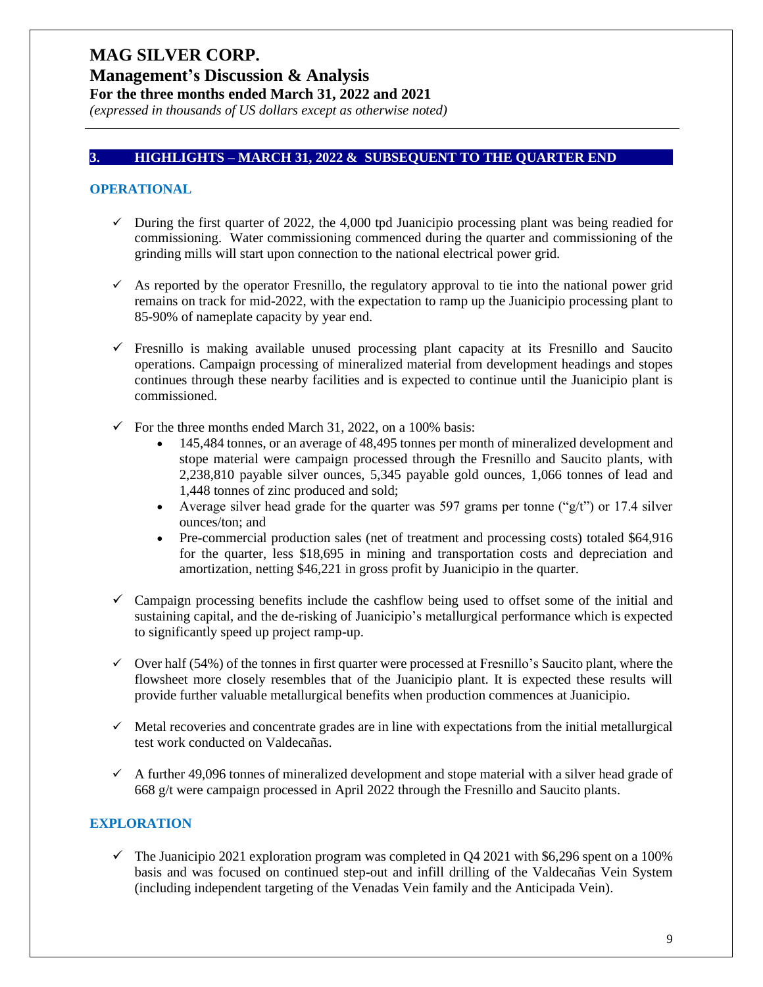## **Management's Discussion & Analysis**

**For the three months ended March 31, 2022 and 2021**

*(expressed in thousands of US dollars except as otherwise noted)*

#### **3. HIGHLIGHTS – MARCH 31, 2022 & SUBSEQUENT TO THE QUARTER END**

#### **OPERATIONAL**

- $\checkmark$  During the first quarter of 2022, the 4,000 tpd Juanicipio processing plant was being readied for commissioning. Water commissioning commenced during the quarter and commissioning of the grinding mills will start upon connection to the national electrical power grid.
- $\checkmark$  As reported by the operator Fresnillo, the regulatory approval to tie into the national power grid remains on track for mid-2022, with the expectation to ramp up the Juanicipio processing plant to 85-90% of nameplate capacity by year end.
- $\checkmark$  Fresnillo is making available unused processing plant capacity at its Fresnillo and Saucito operations. Campaign processing of mineralized material from development headings and stopes continues through these nearby facilities and is expected to continue until the Juanicipio plant is commissioned.
- $\checkmark$  For the three months ended March 31, 2022, on a 100% basis:
	- 145,484 tonnes, or an average of 48,495 tonnes per month of mineralized development and stope material were campaign processed through the Fresnillo and Saucito plants, with 2,238,810 payable silver ounces, 5,345 payable gold ounces, 1,066 tonnes of lead and 1,448 tonnes of zinc produced and sold;
	- Average silver head grade for the quarter was 597 grams per tonne (" $g(t)$ ") or 17.4 silver ounces/ton; and
	- Pre-commercial production sales (net of treatment and processing costs) totaled \$64,916 for the quarter, less \$18,695 in mining and transportation costs and depreciation and amortization, netting \$46,221 in gross profit by Juanicipio in the quarter.
- $\checkmark$  Campaign processing benefits include the cashflow being used to offset some of the initial and sustaining capital, and the de-risking of Juanicipio's metallurgical performance which is expected to significantly speed up project ramp-up.
- $\checkmark$  Over half (54%) of the tonnes in first quarter were processed at Fresnillo's Saucito plant, where the flowsheet more closely resembles that of the Juanicipio plant. It is expected these results will provide further valuable metallurgical benefits when production commences at Juanicipio.
- $\checkmark$  Metal recoveries and concentrate grades are in line with expectations from the initial metallurgical test work conducted on Valdecañas.
- $\checkmark$  A further 49,096 tonnes of mineralized development and stope material with a silver head grade of 668 g/t were campaign processed in April 2022 through the Fresnillo and Saucito plants.

#### **EXPLORATION**

 $\checkmark$  The Juanicipio 2021 exploration program was completed in Q4 2021 with \$6,296 spent on a 100% basis and was focused on continued step-out and infill drilling of the Valdecañas Vein System (including independent targeting of the Venadas Vein family and the Anticipada Vein).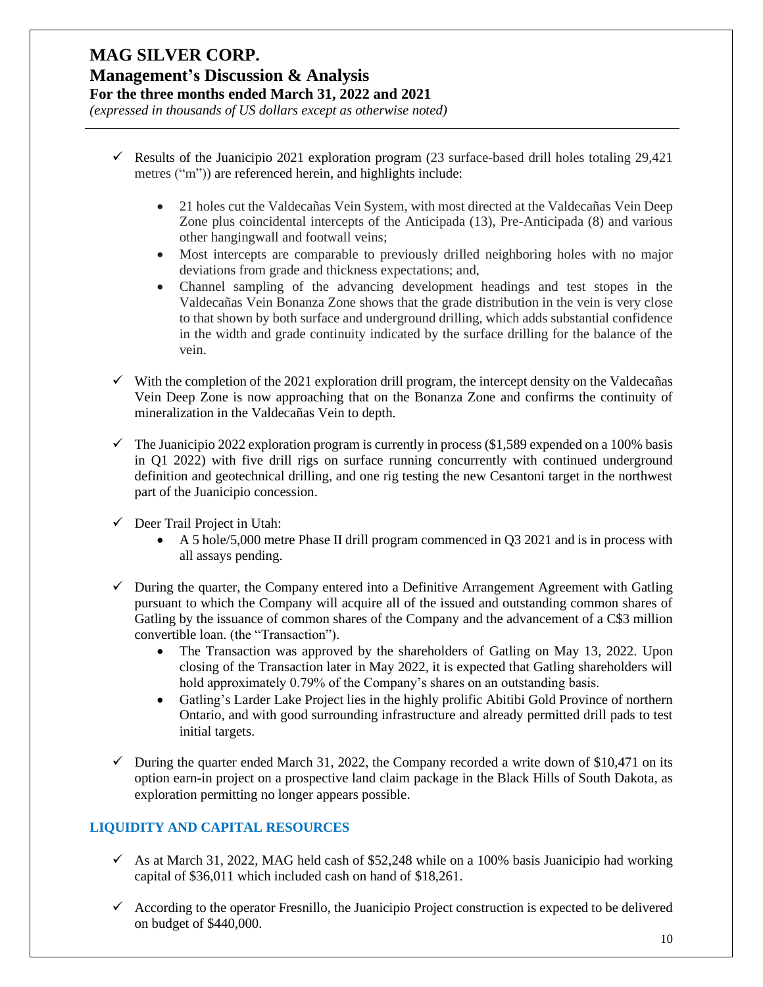# **MAG SILVER CORP. Management's Discussion & Analysis**

**For the three months ended March 31, 2022 and 2021**

*(expressed in thousands of US dollars except as otherwise noted)*

- $\checkmark$  Results of the Juanicipio 2021 exploration program (23 surface-based drill holes totaling 29,421 metres ("m")) are referenced herein, and highlights include:
	- 21 holes cut the Valdecañas Vein System, with most directed at the Valdecañas Vein Deep Zone plus coincidental intercepts of the Anticipada (13), Pre-Anticipada (8) and various other hangingwall and footwall veins;
	- Most intercepts are comparable to previously drilled neighboring holes with no major deviations from grade and thickness expectations; and,
	- Channel sampling of the advancing development headings and test stopes in the Valdecañas Vein Bonanza Zone shows that the grade distribution in the vein is very close to that shown by both surface and underground drilling, which adds substantial confidence in the width and grade continuity indicated by the surface drilling for the balance of the vein.
- $\checkmark$  With the completion of the 2021 exploration drill program, the intercept density on the Valdecañas Vein Deep Zone is now approaching that on the Bonanza Zone and confirms the continuity of mineralization in the Valdecañas Vein to depth.
- $\checkmark$  The Juanicipio 2022 exploration program is currently in process (\$1,589 expended on a 100% basis in Q1 2022) with five drill rigs on surface running concurrently with continued underground definition and geotechnical drilling, and one rig testing the new Cesantoni target in the northwest part of the Juanicipio concession.
- $\checkmark$  Deer Trail Project in Utah:
	- A 5 hole/5,000 metre Phase II drill program commenced in Q3 2021 and is in process with all assays pending.
- $\checkmark$  During the quarter, the Company entered into a Definitive Arrangement Agreement with Gatling pursuant to which the Company will acquire all of the issued and outstanding common shares of Gatling by the issuance of common shares of the Company and the advancement of a C\$3 million convertible loan. (the "Transaction").
	- The Transaction was approved by the shareholders of Gatling on May 13, 2022. Upon closing of the Transaction later in May 2022, it is expected that Gatling shareholders will hold approximately 0.79% of the Company's shares on an outstanding basis.
	- Gatling's Larder Lake Project lies in the highly prolific Abitibi Gold Province of northern Ontario, and with good surrounding infrastructure and already permitted drill pads to test initial targets.
- $\checkmark$  During the quarter ended March 31, 2022, the Company recorded a write down of \$10,471 on its option earn-in project on a prospective land claim package in the Black Hills of South Dakota, as exploration permitting no longer appears possible.

### **LIQUIDITY AND CAPITAL RESOURCES**

- $\checkmark$  As at March 31, 2022, MAG held cash of \$52,248 while on a 100% basis Juanicipio had working capital of \$36,011 which included cash on hand of \$18,261.
- $\checkmark$  According to the operator Fresnillo, the Juanicipio Project construction is expected to be delivered on budget of \$440,000.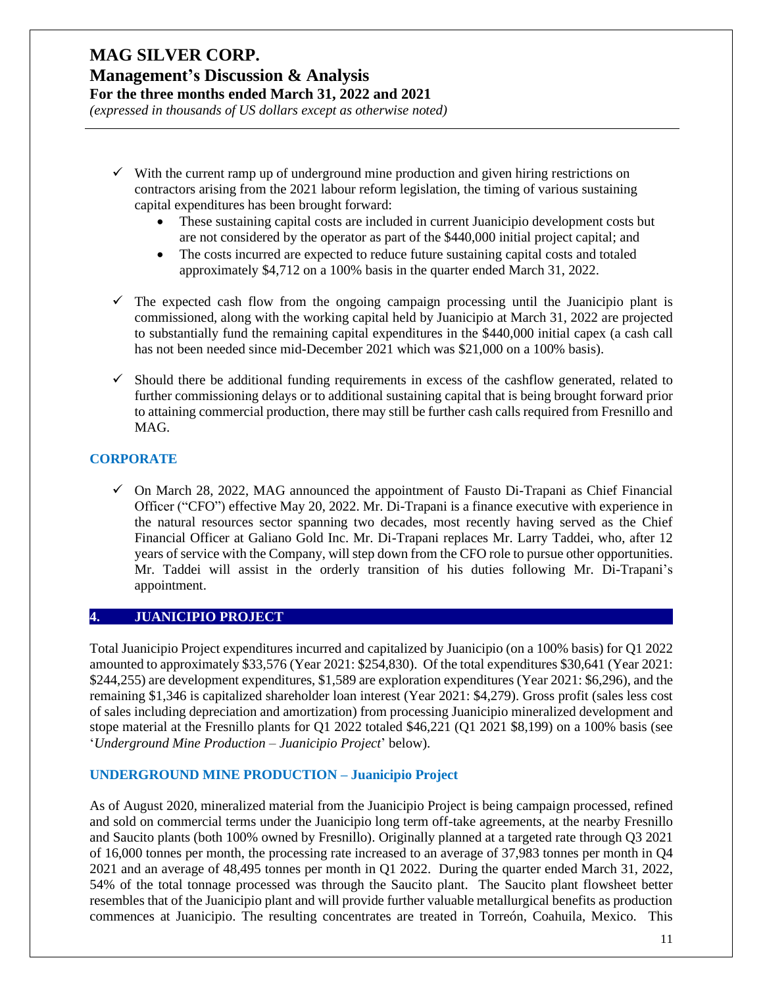#### **Management's Discussion & Analysis For the three months ended March 31, 2022 and 2021**

*(expressed in thousands of US dollars except as otherwise noted)*

- $\checkmark$  With the current ramp up of underground mine production and given hiring restrictions on contractors arising from the 2021 labour reform legislation, the timing of various sustaining capital expenditures has been brought forward:
	- These sustaining capital costs are included in current Juanicipio development costs but are not considered by the operator as part of the \$440,000 initial project capital; and
	- The costs incurred are expected to reduce future sustaining capital costs and totaled approximately \$4,712 on a 100% basis in the quarter ended March 31, 2022.
- $\checkmark$  The expected cash flow from the ongoing campaign processing until the Juanicipio plant is commissioned, along with the working capital held by Juanicipio at March 31, 2022 are projected to substantially fund the remaining capital expenditures in the \$440,000 initial capex (a cash call has not been needed since mid-December 2021 which was \$21,000 on a 100% basis).
- $\checkmark$  Should there be additional funding requirements in excess of the cashflow generated, related to further commissioning delays or to additional sustaining capital that is being brought forward prior to attaining commercial production, there may still be further cash calls required from Fresnillo and MAG.

### **CORPORATE**

 $\checkmark$  On March 28, 2022, MAG announced the appointment of Fausto Di-Trapani as Chief Financial Officer ("CFO") effective May 20, 2022. Mr. Di-Trapani is a finance executive with experience in the natural resources sector spanning two decades, most recently having served as the Chief Financial Officer at Galiano Gold Inc. Mr. Di-Trapani replaces Mr. Larry Taddei, who, after 12 years of service with the Company, will step down from the CFO role to pursue other opportunities. Mr. Taddei will assist in the orderly transition of his duties following Mr. Di-Trapani's appointment.

### **4. JUANICIPIO PROJECT**

Total Juanicipio Project expenditures incurred and capitalized by Juanicipio (on a 100% basis) for Q1 2022 amounted to approximately \$33,576 (Year 2021: \$254,830). Of the total expenditures \$30,641 (Year 2021: \$244,255) are development expenditures, \$1,589 are exploration expenditures (Year 2021: \$6,296), and the remaining \$1,346 is capitalized shareholder loan interest (Year 2021: \$4,279). Gross profit (sales less cost of sales including depreciation and amortization) from processing Juanicipio mineralized development and stope material at the Fresnillo plants for Q1 2022 totaled \$46,221 (Q1 2021 \$8,199) on a 100% basis (see '*Underground Mine Production – Juanicipio Project*' below).

### **UNDERGROUND MINE PRODUCTION – Juanicipio Project**

As of August 2020, mineralized material from the Juanicipio Project is being campaign processed, refined and sold on commercial terms under the Juanicipio long term off-take agreements, at the nearby Fresnillo and Saucito plants (both 100% owned by Fresnillo). Originally planned at a targeted rate through Q3 2021 of 16,000 tonnes per month, the processing rate increased to an average of 37,983 tonnes per month in Q4 2021 and an average of 48,495 tonnes per month in Q1 2022. During the quarter ended March 31, 2022, 54% of the total tonnage processed was through the Saucito plant. The Saucito plant flowsheet better resembles that of the Juanicipio plant and will provide further valuable metallurgical benefits as production commences at Juanicipio. The resulting concentrates are treated in Torreón, Coahuila, Mexico. This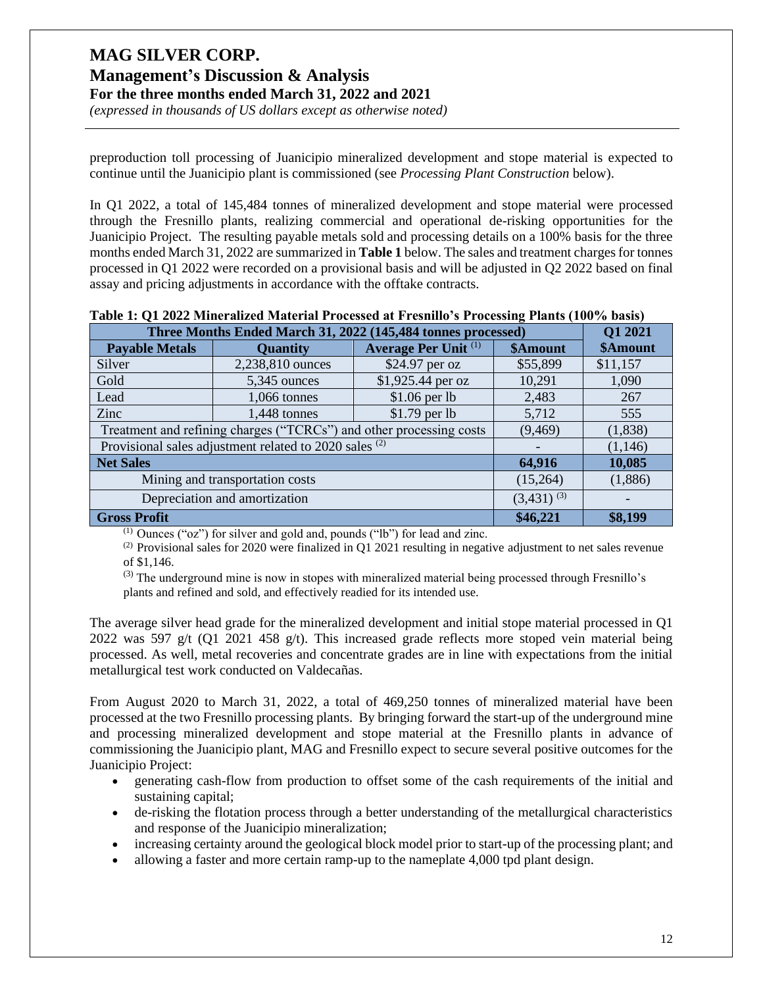*(expressed in thousands of US dollars except as otherwise noted)*

preproduction toll processing of Juanicipio mineralized development and stope material is expected to continue until the Juanicipio plant is commissioned (see *Processing Plant Construction* below).

In Q1 2022, a total of 145,484 tonnes of mineralized development and stope material were processed through the Fresnillo plants, realizing commercial and operational de-risking opportunities for the Juanicipio Project. The resulting payable metals sold and processing details on a 100% basis for the three months ended March 31, 2022 are summarized in **Table 1** below. The sales and treatment charges for tonnes processed in Q1 2022 were recorded on a provisional basis and will be adjusted in Q2 2022 based on final assay and pricing adjustments in accordance with the offtake contracts.

| Three Months Ended March 31, 2022 (145,484 tonnes processed)                | Q1 2021          |                   |          |          |
|-----------------------------------------------------------------------------|------------------|-------------------|----------|----------|
| Average Per Unit <sup>(1)</sup><br><b>Payable Metals</b><br><b>Quantity</b> |                  |                   | \$Amount | \$Amount |
| Silver                                                                      | 2,238,810 ounces | \$24.97 per oz    | \$55,899 | \$11,157 |
| Gold                                                                        | 5,345 ounces     | \$1,925.44 per oz | 10,291   | 1,090    |
| Lead                                                                        | 1,066 tonnes     | $$1.06$ per lb    | 2,483    | 267      |
| Zinc                                                                        | 1,448 tonnes     | $$1.79$ per lb    | 5,712    | 555      |
| Treatment and refining charges ("TCRCs") and other processing costs         | (9, 469)         | (1,838)           |          |          |
| Provisional sales adjustment related to 2020 sales <sup>(2)</sup>           |                  |                   |          |          |
| <b>Net Sales</b><br>64,916                                                  |                  |                   |          |          |
| Mining and transportation costs                                             |                  |                   | (15,264) | (1,886)  |
| Depreciation and amortization                                               | $(3,431)^{(3)}$  |                   |          |          |
| <b>Gross Profit</b>                                                         | \$46,221         | \$8,199           |          |          |

**Table 1: Q1 2022 Mineralized Material Processed at Fresnillo's Processing Plants (100% basis)**

 $(1)$  Ounces ("oz") for silver and gold and, pounds ("lb") for lead and zinc.

(2) Provisional sales for 2020 were finalized in Q1 2021 resulting in negative adjustment to net sales revenue of \$1,146.

 $<sup>(3)</sup>$  The underground mine is now in stopes with mineralized material being processed through Fresnillo's</sup> plants and refined and sold, and effectively readied for its intended use.

The average silver head grade for the mineralized development and initial stope material processed in Q1 2022 was 597 g/t (O1 2021 458 g/t). This increased grade reflects more stoped vein material being processed. As well, metal recoveries and concentrate grades are in line with expectations from the initial metallurgical test work conducted on Valdecañas.

From August 2020 to March 31, 2022, a total of 469,250 tonnes of mineralized material have been processed at the two Fresnillo processing plants. By bringing forward the start-up of the underground mine and processing mineralized development and stope material at the Fresnillo plants in advance of commissioning the Juanicipio plant, MAG and Fresnillo expect to secure several positive outcomes for the Juanicipio Project:

- generating cash-flow from production to offset some of the cash requirements of the initial and sustaining capital;
- de-risking the flotation process through a better understanding of the metallurgical characteristics and response of the Juanicipio mineralization;
- increasing certainty around the geological block model prior to start-up of the processing plant; and
- allowing a faster and more certain ramp-up to the nameplate 4,000 tpd plant design.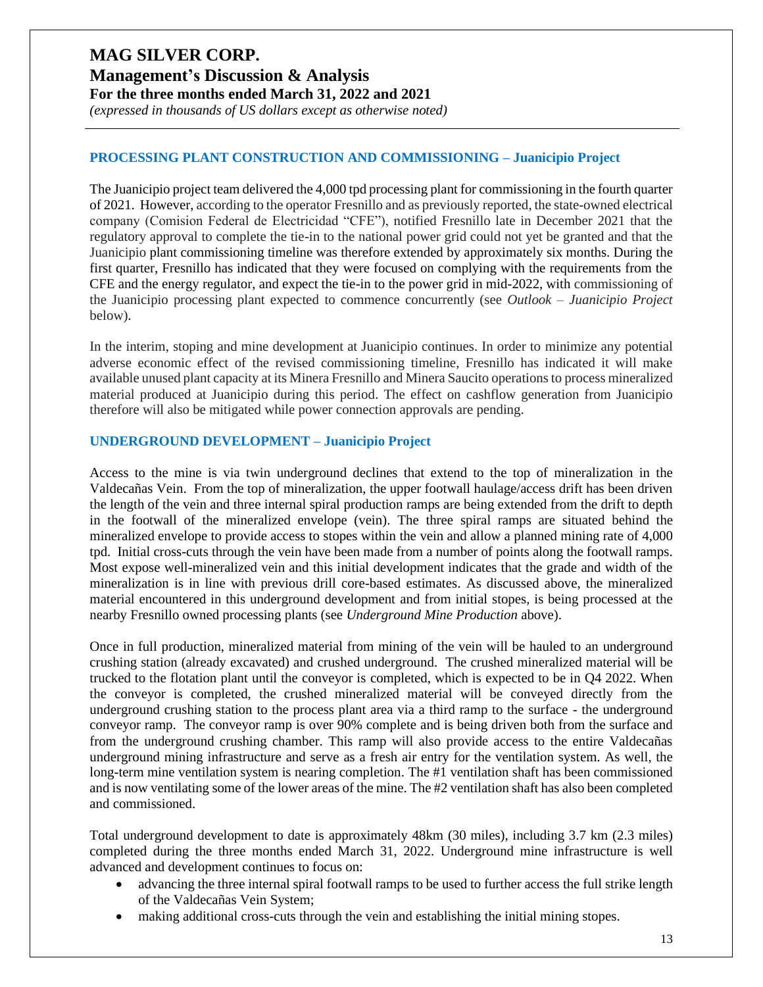## **Management's Discussion & Analysis For the three months ended March 31, 2022 and 2021**

*(expressed in thousands of US dollars except as otherwise noted)*

#### **PROCESSING PLANT CONSTRUCTION AND COMMISSIONING – Juanicipio Project**

The Juanicipio project team delivered the 4,000 tpd processing plant for commissioning in the fourth quarter of 2021. However, according to the operator Fresnillo and as previously reported, the state-owned electrical company (Comision Federal de Electricidad "CFE"), notified Fresnillo late in December 2021 that the regulatory approval to complete the tie-in to the national power grid could not yet be granted and that the Juanicipio plant commissioning timeline was therefore extended by approximately six months. During the first quarter, Fresnillo has indicated that they were focused on complying with the requirements from the CFE and the energy regulator, and expect the tie-in to the power grid in mid-2022, with commissioning of the Juanicipio processing plant expected to commence concurrently (see *Outlook – Juanicipio Project* below).

In the interim, stoping and mine development at Juanicipio continues. In order to minimize any potential adverse economic effect of the revised commissioning timeline, Fresnillo has indicated it will make available unused plant capacity at its Minera Fresnillo and Minera Saucito operationsto process mineralized material produced at Juanicipio during this period. The effect on cashflow generation from Juanicipio therefore will also be mitigated while power connection approvals are pending.

#### **UNDERGROUND DEVELOPMENT – Juanicipio Project**

Access to the mine is via twin underground declines that extend to the top of mineralization in the Valdecañas Vein. From the top of mineralization, the upper footwall haulage/access drift has been driven the length of the vein and three internal spiral production ramps are being extended from the drift to depth in the footwall of the mineralized envelope (vein). The three spiral ramps are situated behind the mineralized envelope to provide access to stopes within the vein and allow a planned mining rate of 4,000 tpd. Initial cross-cuts through the vein have been made from a number of points along the footwall ramps. Most expose well-mineralized vein and this initial development indicates that the grade and width of the mineralization is in line with previous drill core-based estimates. As discussed above, the mineralized material encountered in this underground development and from initial stopes, is being processed at the nearby Fresnillo owned processing plants (see *Underground Mine Production* above).

Once in full production, mineralized material from mining of the vein will be hauled to an underground crushing station (already excavated) and crushed underground. The crushed mineralized material will be trucked to the flotation plant until the conveyor is completed, which is expected to be in Q4 2022. When the conveyor is completed, the crushed mineralized material will be conveyed directly from the underground crushing station to the process plant area via a third ramp to the surface - the underground conveyor ramp. The conveyor ramp is over 90% complete and is being driven both from the surface and from the underground crushing chamber. This ramp will also provide access to the entire Valdecañas underground mining infrastructure and serve as a fresh air entry for the ventilation system. As well, the long-term mine ventilation system is nearing completion. The #1 ventilation shaft has been commissioned and is now ventilating some of the lower areas of the mine. The #2 ventilation shaft has also been completed and commissioned.

Total underground development to date is approximately 48km (30 miles), including 3.7 km (2.3 miles) completed during the three months ended March 31, 2022. Underground mine infrastructure is well advanced and development continues to focus on:

- advancing the three internal spiral footwall ramps to be used to further access the full strike length of the Valdecañas Vein System;
- making additional cross-cuts through the vein and establishing the initial mining stopes.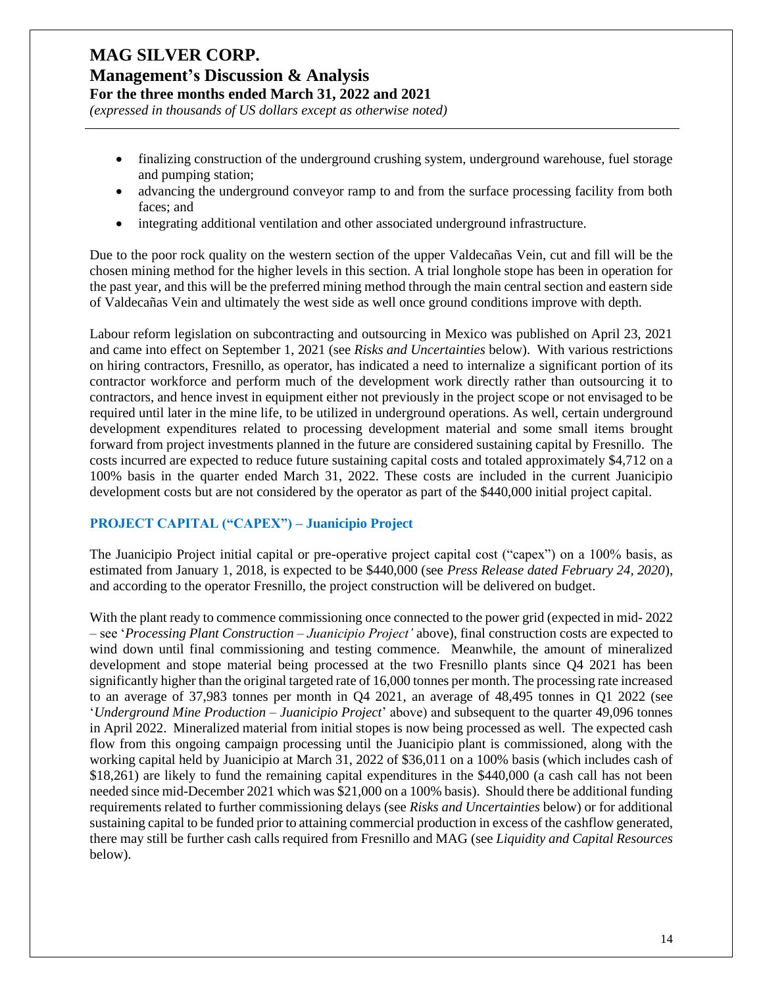*(expressed in thousands of US dollars except as otherwise noted)*

- finalizing construction of the underground crushing system, underground warehouse, fuel storage and pumping station;
- advancing the underground conveyor ramp to and from the surface processing facility from both faces; and
- integrating additional ventilation and other associated underground infrastructure.

Due to the poor rock quality on the western section of the upper Valdecañas Vein, cut and fill will be the chosen mining method for the higher levels in this section. A trial longhole stope has been in operation for the past year, and this will be the preferred mining method through the main central section and eastern side of Valdecañas Vein and ultimately the west side as well once ground conditions improve with depth.

Labour reform legislation on subcontracting and outsourcing in Mexico was published on April 23, 2021 and came into effect on September 1, 2021 (see *Risks and Uncertainties* below). With various restrictions on hiring contractors, Fresnillo, as operator, has indicated a need to internalize a significant portion of its contractor workforce and perform much of the development work directly rather than outsourcing it to contractors, and hence invest in equipment either not previously in the project scope or not envisaged to be required until later in the mine life, to be utilized in underground operations. As well, certain underground development expenditures related to processing development material and some small items brought forward from project investments planned in the future are considered sustaining capital by Fresnillo. The costs incurred are expected to reduce future sustaining capital costs and totaled approximately \$4,712 on a 100% basis in the quarter ended March 31, 2022. These costs are included in the current Juanicipio development costs but are not considered by the operator as part of the \$440,000 initial project capital.

#### **PROJECT CAPITAL ("CAPEX") – Juanicipio Project**

The Juanicipio Project initial capital or pre-operative project capital cost ("capex") on a 100% basis, as estimated from January 1, 2018, is expected to be \$440,000 (see *Press Release dated February 24, 2020*), and according to the operator Fresnillo, the project construction will be delivered on budget.

With the plant ready to commence commissioning once connected to the power grid (expected in mid-2022) – see '*Processing Plant Construction – Juanicipio Project'* above), final construction costs are expected to wind down until final commissioning and testing commence. Meanwhile, the amount of mineralized development and stope material being processed at the two Fresnillo plants since Q4 2021 has been significantly higher than the original targeted rate of 16,000 tonnes per month. The processing rate increased to an average of 37,983 tonnes per month in Q4 2021, an average of 48,495 tonnes in Q1 2022 (see '*Underground Mine Production – Juanicipio Project*' above) and subsequent to the quarter 49,096 tonnes in April 2022. Mineralized material from initial stopes is now being processed as well. The expected cash flow from this ongoing campaign processing until the Juanicipio plant is commissioned, along with the working capital held by Juanicipio at March 31, 2022 of \$36,011 on a 100% basis (which includes cash of \$18,261) are likely to fund the remaining capital expenditures in the \$440,000 (a cash call has not been needed since mid-December 2021 which was \$21,000 on a 100% basis). Should there be additional funding requirements related to further commissioning delays (see *Risks and Uncertainties* below) or for additional sustaining capital to be funded prior to attaining commercial production in excess of the cashflow generated, there may still be further cash calls required from Fresnillo and MAG (see *Liquidity and Capital Resources* below).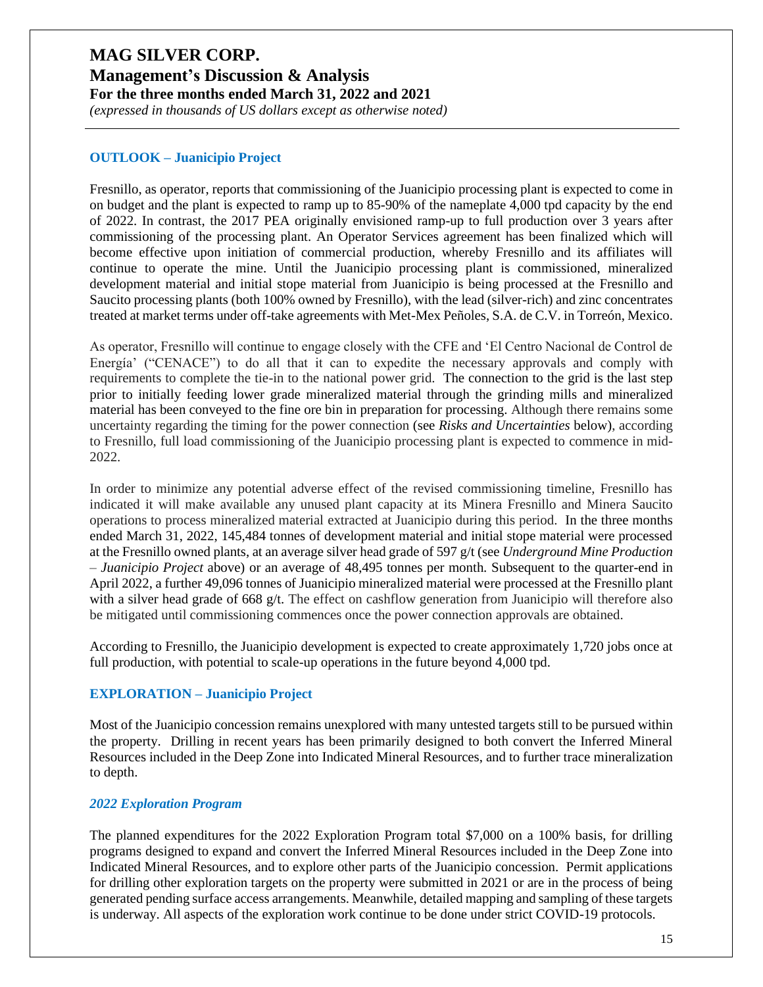#### **Management's Discussion & Analysis For the three months ended March 31, 2022 and 2021**

*(expressed in thousands of US dollars except as otherwise noted)*

#### **OUTLOOK – Juanicipio Project**

Fresnillo, as operator, reports that commissioning of the Juanicipio processing plant is expected to come in on budget and the plant is expected to ramp up to 85-90% of the nameplate 4,000 tpd capacity by the end of 2022. In contrast, the 2017 PEA originally envisioned ramp-up to full production over 3 years after commissioning of the processing plant. An Operator Services agreement has been finalized which will become effective upon initiation of commercial production, whereby Fresnillo and its affiliates will continue to operate the mine. Until the Juanicipio processing plant is commissioned, mineralized development material and initial stope material from Juanicipio is being processed at the Fresnillo and Saucito processing plants (both 100% owned by Fresnillo), with the lead (silver-rich) and zinc concentrates treated at market terms under off-take agreements with Met-Mex Peñoles, S.A. de C.V. in Torreón, Mexico.

As operator, Fresnillo will continue to engage closely with the CFE and 'El Centro Nacional de Control de Energía' ("CENACE") to do all that it can to expedite the necessary approvals and comply with requirements to complete the tie-in to the national power grid. The connection to the grid is the last step prior to initially feeding lower grade mineralized material through the grinding mills and mineralized material has been conveyed to the fine ore bin in preparation for processing. Although there remains some uncertainty regarding the timing for the power connection (see *Risks and Uncertainties* below), according to Fresnillo, full load commissioning of the Juanicipio processing plant is expected to commence in mid-2022.

In order to minimize any potential adverse effect of the revised commissioning timeline, Fresnillo has indicated it will make available any unused plant capacity at its Minera Fresnillo and Minera Saucito operations to process mineralized material extracted at Juanicipio during this period. In the three months ended March 31, 2022, 145,484 tonnes of development material and initial stope material were processed at the Fresnillo owned plants, at an average silver head grade of 597 g/t (see *Underground Mine Production – Juanicipio Project* above) or an average of 48,495 tonnes per month. Subsequent to the quarter-end in April 2022, a further 49,096 tonnes of Juanicipio mineralized material were processed at the Fresnillo plant with a silver head grade of 668 g/t. The effect on cashflow generation from Juanicipio will therefore also be mitigated until commissioning commences once the power connection approvals are obtained.

According to Fresnillo, the Juanicipio development is expected to create approximately 1,720 jobs once at full production, with potential to scale-up operations in the future beyond 4,000 tpd.

#### **EXPLORATION – Juanicipio Project**

Most of the Juanicipio concession remains unexplored with many untested targets still to be pursued within the property. Drilling in recent years has been primarily designed to both convert the Inferred Mineral Resources included in the Deep Zone into Indicated Mineral Resources, and to further trace mineralization to depth.

#### *2022 Exploration Program*

The planned expenditures for the 2022 Exploration Program total \$7,000 on a 100% basis, for drilling programs designed to expand and convert the Inferred Mineral Resources included in the Deep Zone into Indicated Mineral Resources, and to explore other parts of the Juanicipio concession. Permit applications for drilling other exploration targets on the property were submitted in 2021 or are in the process of being generated pending surface access arrangements. Meanwhile, detailed mapping and sampling of these targets is underway. All aspects of the exploration work continue to be done under strict COVID-19 protocols.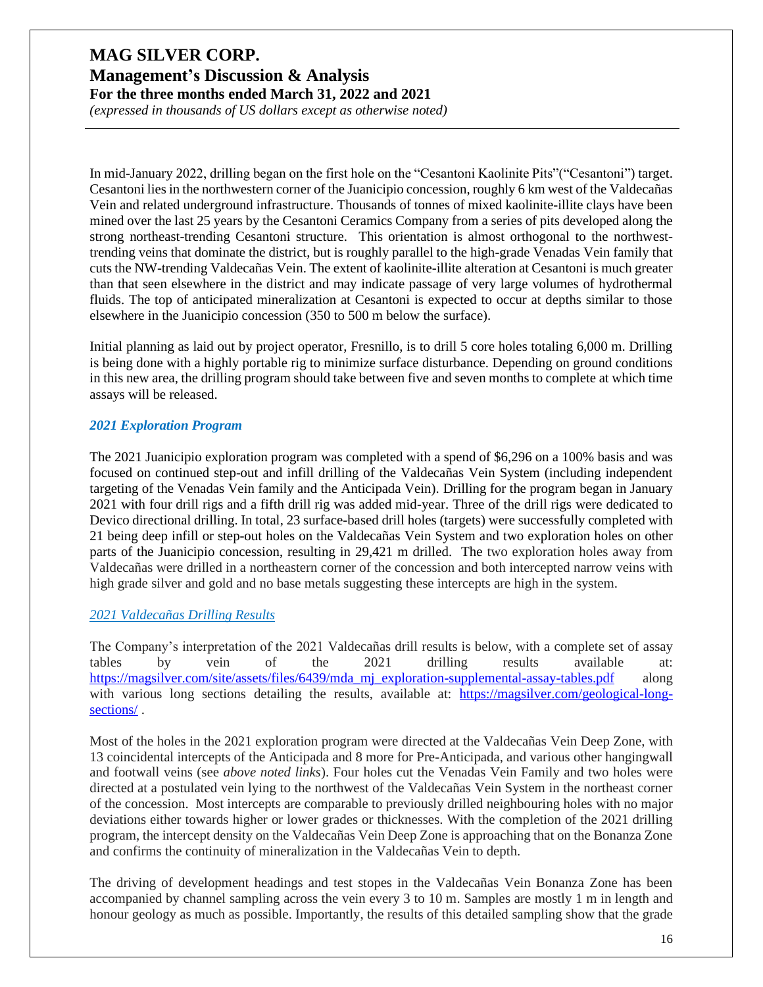*(expressed in thousands of US dollars except as otherwise noted)*

In mid-January 2022, drilling began on the first hole on the "Cesantoni Kaolinite Pits"("Cesantoni") target. Cesantoni lies in the northwestern corner of the Juanicipio concession, roughly 6 km west of the Valdecañas Vein and related underground infrastructure. Thousands of tonnes of mixed kaolinite-illite clays have been mined over the last 25 years by the Cesantoni Ceramics Company from a series of pits developed along the strong northeast-trending Cesantoni structure. This orientation is almost orthogonal to the northwesttrending veins that dominate the district, but is roughly parallel to the high-grade Venadas Vein family that cuts the NW-trending Valdecañas Vein. The extent of kaolinite-illite alteration at Cesantoni is much greater than that seen elsewhere in the district and may indicate passage of very large volumes of hydrothermal fluids. The top of anticipated mineralization at Cesantoni is expected to occur at depths similar to those elsewhere in the Juanicipio concession (350 to 500 m below the surface).

Initial planning as laid out by project operator, Fresnillo, is to drill 5 core holes totaling 6,000 m. Drilling is being done with a highly portable rig to minimize surface disturbance. Depending on ground conditions in this new area, the drilling program should take between five and seven months to complete at which time assays will be released.

#### *2021 Exploration Program*

The 2021 Juanicipio exploration program was completed with a spend of \$6,296 on a 100% basis and was focused on continued step-out and infill drilling of the Valdecañas Vein System (including independent targeting of the Venadas Vein family and the Anticipada Vein). Drilling for the program began in January 2021 with four drill rigs and a fifth drill rig was added mid-year. Three of the drill rigs were dedicated to Devico directional drilling. In total, 23 surface-based drill holes (targets) were successfully completed with 21 being deep infill or step-out holes on the Valdecañas Vein System and two exploration holes on other parts of the Juanicipio concession, resulting in 29,421 m drilled. The two exploration holes away from Valdecañas were drilled in a northeastern corner of the concession and both intercepted narrow veins with high grade silver and gold and no base metals suggesting these intercepts are high in the system.

#### *2021 Valdecañas Drilling Results*

The Company's interpretation of the 2021 Valdecañas drill results is below, with a complete set of assay tables by vein of the 2021 drilling results available at: [https://magsilver.com/site/assets/files/6439/mda\\_mj\\_exploration-supplemental-assay-tables.pdf](https://magsilver.com/site/assets/files/6439/mda_mj_exploration-supplemental-assay-tables.pdf) along with various long sections detailing the results, available at: [https://magsilver.com/geological-long](https://magsilver.com/geological-long-sections/)[sections/](https://magsilver.com/geological-long-sections/) .

Most of the holes in the 2021 exploration program were directed at the Valdecañas Vein Deep Zone, with 13 coincidental intercepts of the Anticipada and 8 more for Pre-Anticipada, and various other hangingwall and footwall veins (see *above noted links*). Four holes cut the Venadas Vein Family and two holes were directed at a postulated vein lying to the northwest of the Valdecañas Vein System in the northeast corner of the concession. Most intercepts are comparable to previously drilled neighbouring holes with no major deviations either towards higher or lower grades or thicknesses. With the completion of the 2021 drilling program, the intercept density on the Valdecañas Vein Deep Zone is approaching that on the Bonanza Zone and confirms the continuity of mineralization in the Valdecañas Vein to depth.

The driving of development headings and test stopes in the Valdecañas Vein Bonanza Zone has been accompanied by channel sampling across the vein every 3 to 10 m. Samples are mostly 1 m in length and honour geology as much as possible. Importantly, the results of this detailed sampling show that the grade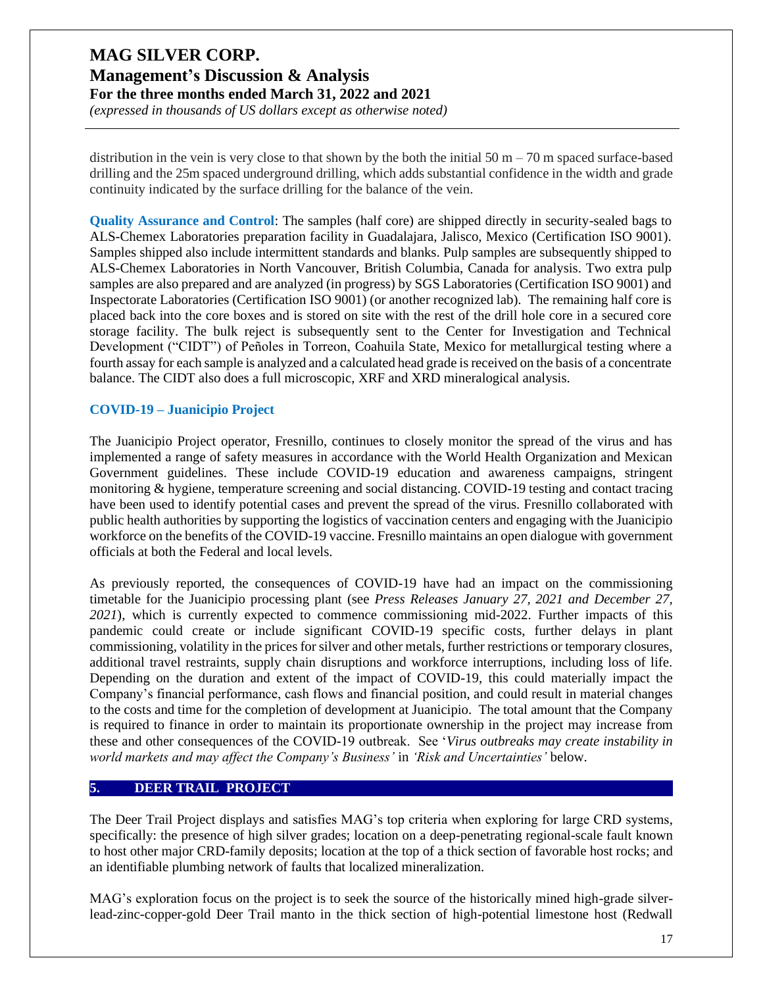*(expressed in thousands of US dollars except as otherwise noted)*

distribution in the vein is very close to that shown by the both the initial  $50 \text{ m} - 70 \text{ m}$  spaced surface-based drilling and the 25m spaced underground drilling, which adds substantial confidence in the width and grade continuity indicated by the surface drilling for the balance of the vein.

**Quality Assurance and Control**: The samples (half core) are shipped directly in security-sealed bags to ALS-Chemex Laboratories preparation facility in Guadalajara, Jalisco, Mexico (Certification ISO 9001). Samples shipped also include intermittent standards and blanks. Pulp samples are subsequently shipped to ALS-Chemex Laboratories in North Vancouver, British Columbia, Canada for analysis. Two extra pulp samples are also prepared and are analyzed (in progress) by SGS Laboratories (Certification ISO 9001) and Inspectorate Laboratories (Certification ISO 9001) (or another recognized lab). The remaining half core is placed back into the core boxes and is stored on site with the rest of the drill hole core in a secured core storage facility. The bulk reject is subsequently sent to the Center for Investigation and Technical Development ("CIDT") of Peñoles in Torreon, Coahuila State, Mexico for metallurgical testing where a fourth assay for each sample is analyzed and a calculated head grade is received on the basis of a concentrate balance. The CIDT also does a full microscopic, XRF and XRD mineralogical analysis.

#### **COVID-19 – Juanicipio Project**

The Juanicipio Project operator, Fresnillo, continues to closely monitor the spread of the virus and has implemented a range of safety measures in accordance with the World Health Organization and Mexican Government guidelines. These include COVID-19 education and awareness campaigns, stringent monitoring & hygiene, temperature screening and social distancing. COVID-19 testing and contact tracing have been used to identify potential cases and prevent the spread of the virus. Fresnillo collaborated with public health authorities by supporting the logistics of vaccination centers and engaging with the Juanicipio workforce on the benefits of the COVID-19 vaccine. Fresnillo maintains an open dialogue with government officials at both the Federal and local levels.

As previously reported, the consequences of COVID-19 have had an impact on the commissioning timetable for the Juanicipio processing plant (see *Press Releases January 27, 2021 and December 27, 2021*), which is currently expected to commence commissioning mid-2022. Further impacts of this pandemic could create or include significant COVID-19 specific costs, further delays in plant commissioning, volatility in the prices for silver and other metals, further restrictions or temporary closures, additional travel restraints, supply chain disruptions and workforce interruptions, including loss of life. Depending on the duration and extent of the impact of COVID-19, this could materially impact the Company's financial performance, cash flows and financial position, and could result in material changes to the costs and time for the completion of development at Juanicipio. The total amount that the Company is required to finance in order to maintain its proportionate ownership in the project may increase from these and other consequences of the COVID-19 outbreak. See '*Virus outbreaks may create instability in world markets and may affect the Company's Business'* in *'Risk and Uncertainties'* below.

#### **5. DEER TRAIL PROJECT**

The Deer Trail Project displays and satisfies MAG's top criteria when exploring for large CRD systems, specifically: the presence of high silver grades; location on a deep-penetrating regional-scale fault known to host other major CRD-family deposits; location at the top of a thick section of favorable host rocks; and an identifiable plumbing network of faults that localized mineralization.

MAG's exploration focus on the project is to seek the source of the historically mined high-grade silverlead-zinc-copper-gold Deer Trail manto in the thick section of high-potential limestone host (Redwall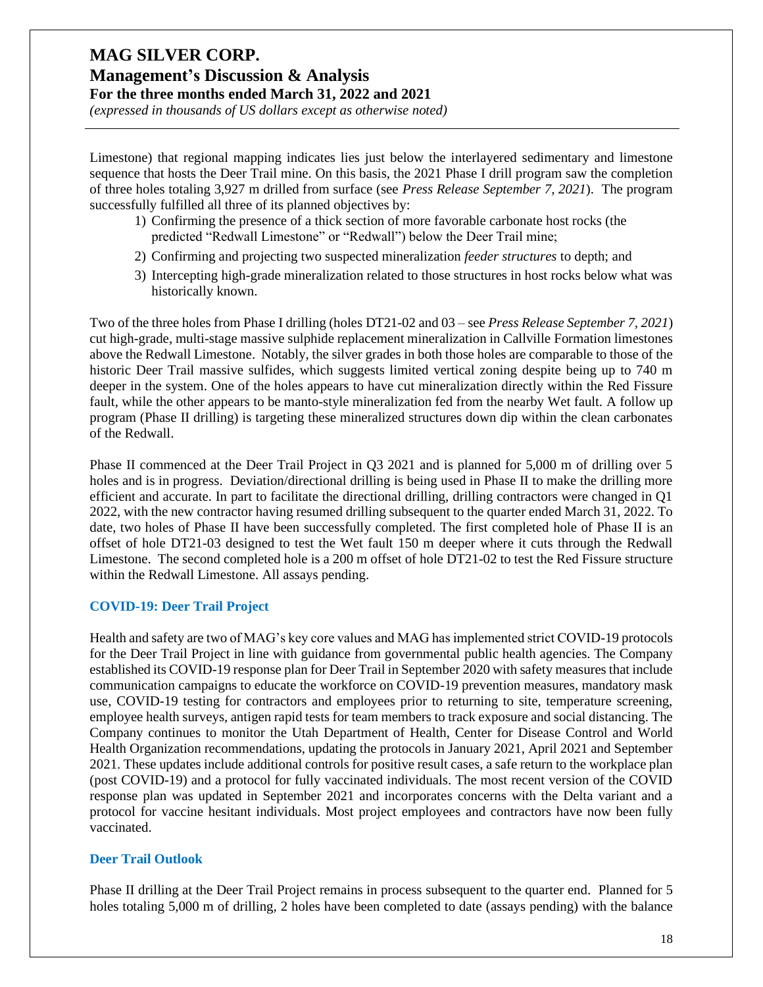## **Management's Discussion & Analysis For the three months ended March 31, 2022 and 2021**

*(expressed in thousands of US dollars except as otherwise noted)*

Limestone) that regional mapping indicates lies just below the interlayered sedimentary and limestone sequence that hosts the Deer Trail mine. On this basis, the 2021 Phase I drill program saw the completion of three holes totaling 3,927 m drilled from surface (see *Press Release September 7, 2021*). The program successfully fulfilled all three of its planned objectives by:

- 1) Confirming the presence of a thick section of more favorable carbonate host rocks (the predicted "Redwall Limestone" or "Redwall") below the Deer Trail mine;
- 2) Confirming and projecting two suspected mineralization *feeder structures* to depth; and
- 3) Intercepting high-grade mineralization related to those structures in host rocks below what was historically known.

Two of the three holes from Phase I drilling (holes DT21-02 and 03 – see *Press Release September 7, 2021*) cut high-grade, multi-stage massive sulphide replacement mineralization in Callville Formation limestones above the Redwall Limestone. Notably, the silver grades in both those holes are comparable to those of the historic Deer Trail massive sulfides, which suggests limited vertical zoning despite being up to 740 m deeper in the system. One of the holes appears to have cut mineralization directly within the Red Fissure fault, while the other appears to be manto-style mineralization fed from the nearby Wet fault. A follow up program (Phase II drilling) is targeting these mineralized structures down dip within the clean carbonates of the Redwall.

Phase II commenced at the Deer Trail Project in Q3 2021 and is planned for 5,000 m of drilling over 5 holes and is in progress. Deviation/directional drilling is being used in Phase II to make the drilling more efficient and accurate. In part to facilitate the directional drilling, drilling contractors were changed in Q1 2022, with the new contractor having resumed drilling subsequent to the quarter ended March 31, 2022. To date, two holes of Phase II have been successfully completed. The first completed hole of Phase II is an offset of hole DT21-03 designed to test the Wet fault 150 m deeper where it cuts through the Redwall Limestone. The second completed hole is a 200 m offset of hole DT21-02 to test the Red Fissure structure within the Redwall Limestone. All assays pending.

#### **COVID-19: Deer Trail Project**

Health and safety are two of MAG's key core values and MAG has implemented strict COVID-19 protocols for the Deer Trail Project in line with guidance from governmental public health agencies. The Company established its COVID-19 response plan for Deer Trail in September 2020 with safety measures that include communication campaigns to educate the workforce on COVID-19 prevention measures, mandatory mask use, COVID-19 testing for contractors and employees prior to returning to site, temperature screening, employee health surveys, antigen rapid tests for team members to track exposure and social distancing. The Company continues to monitor the Utah Department of Health, Center for Disease Control and World Health Organization recommendations, updating the protocols in January 2021, April 2021 and September 2021. These updates include additional controls for positive result cases, a safe return to the workplace plan (post COVID-19) and a protocol for fully vaccinated individuals. The most recent version of the COVID response plan was updated in September 2021 and incorporates concerns with the Delta variant and a protocol for vaccine hesitant individuals. Most project employees and contractors have now been fully vaccinated.

#### **Deer Trail Outlook**

Phase II drilling at the Deer Trail Project remains in process subsequent to the quarter end. Planned for 5 holes totaling 5,000 m of drilling, 2 holes have been completed to date (assays pending) with the balance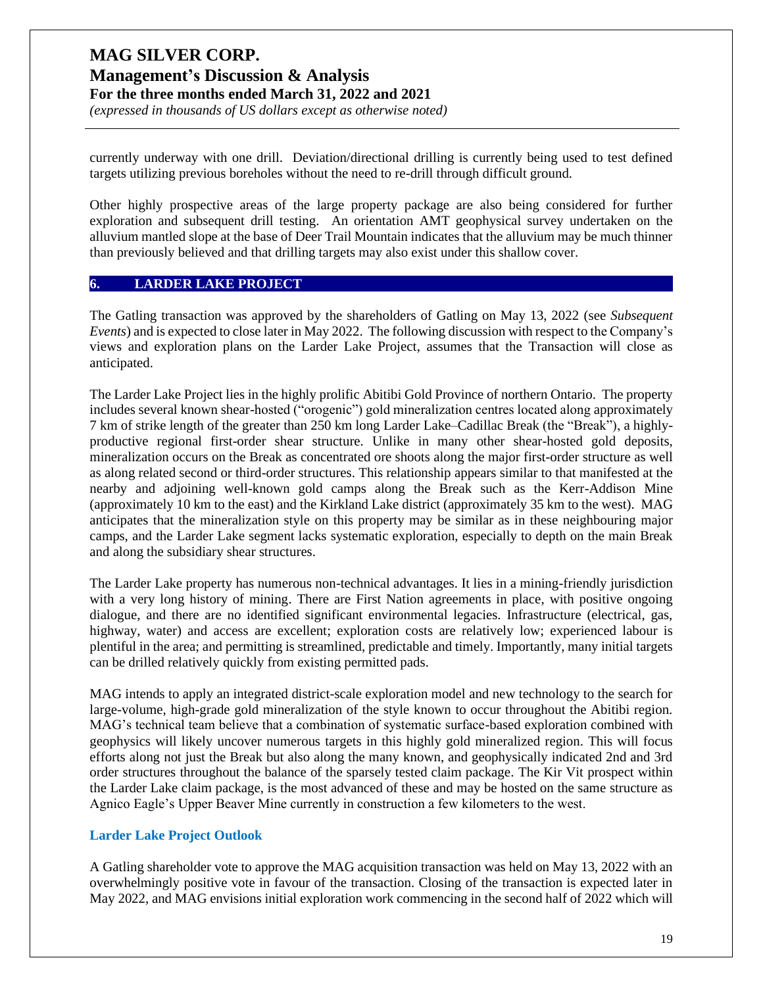*(expressed in thousands of US dollars except as otherwise noted)*

currently underway with one drill. Deviation/directional drilling is currently being used to test defined targets utilizing previous boreholes without the need to re-drill through difficult ground.

Other highly prospective areas of the large property package are also being considered for further exploration and subsequent drill testing. An orientation AMT geophysical survey undertaken on the alluvium mantled slope at the base of Deer Trail Mountain indicates that the alluvium may be much thinner than previously believed and that drilling targets may also exist under this shallow cover.

#### **6. LARDER LAKE PROJECT**

The Gatling transaction was approved by the shareholders of Gatling on May 13, 2022 (see *Subsequent Events*) and is expected to close later in May 2022. The following discussion with respect to the Company's views and exploration plans on the Larder Lake Project, assumes that the Transaction will close as anticipated.

The Larder Lake Project lies in the highly prolific Abitibi Gold Province of northern Ontario. The property includes several known shear-hosted ("orogenic") gold mineralization centres located along approximately 7 km of strike length of the greater than 250 km long Larder Lake–Cadillac Break (the "Break"), a highlyproductive regional first-order shear structure. Unlike in many other shear-hosted gold deposits, mineralization occurs on the Break as concentrated ore shoots along the major first-order structure as well as along related second or third-order structures. This relationship appears similar to that manifested at the nearby and adjoining well-known gold camps along the Break such as the Kerr-Addison Mine (approximately 10 km to the east) and the Kirkland Lake district (approximately 35 km to the west). MAG anticipates that the mineralization style on this property may be similar as in these neighbouring major camps, and the Larder Lake segment lacks systematic exploration, especially to depth on the main Break and along the subsidiary shear structures.

The Larder Lake property has numerous non-technical advantages. It lies in a mining-friendly jurisdiction with a very long history of mining. There are First Nation agreements in place, with positive ongoing dialogue, and there are no identified significant environmental legacies. Infrastructure (electrical, gas, highway, water) and access are excellent; exploration costs are relatively low; experienced labour is plentiful in the area; and permitting is streamlined, predictable and timely. Importantly, many initial targets can be drilled relatively quickly from existing permitted pads.

MAG intends to apply an integrated district-scale exploration model and new technology to the search for large-volume, high-grade gold mineralization of the style known to occur throughout the Abitibi region. MAG's technical team believe that a combination of systematic surface-based exploration combined with geophysics will likely uncover numerous targets in this highly gold mineralized region. This will focus efforts along not just the Break but also along the many known, and geophysically indicated 2nd and 3rd order structures throughout the balance of the sparsely tested claim package. The Kir Vit prospect within the Larder Lake claim package, is the most advanced of these and may be hosted on the same structure as Agnico Eagle's Upper Beaver Mine currently in construction a few kilometers to the west.

#### **Larder Lake Project Outlook**

A Gatling shareholder vote to approve the MAG acquisition transaction was held on May 13, 2022 with an overwhelmingly positive vote in favour of the transaction. Closing of the transaction is expected later in May 2022, and MAG envisions initial exploration work commencing in the second half of 2022 which will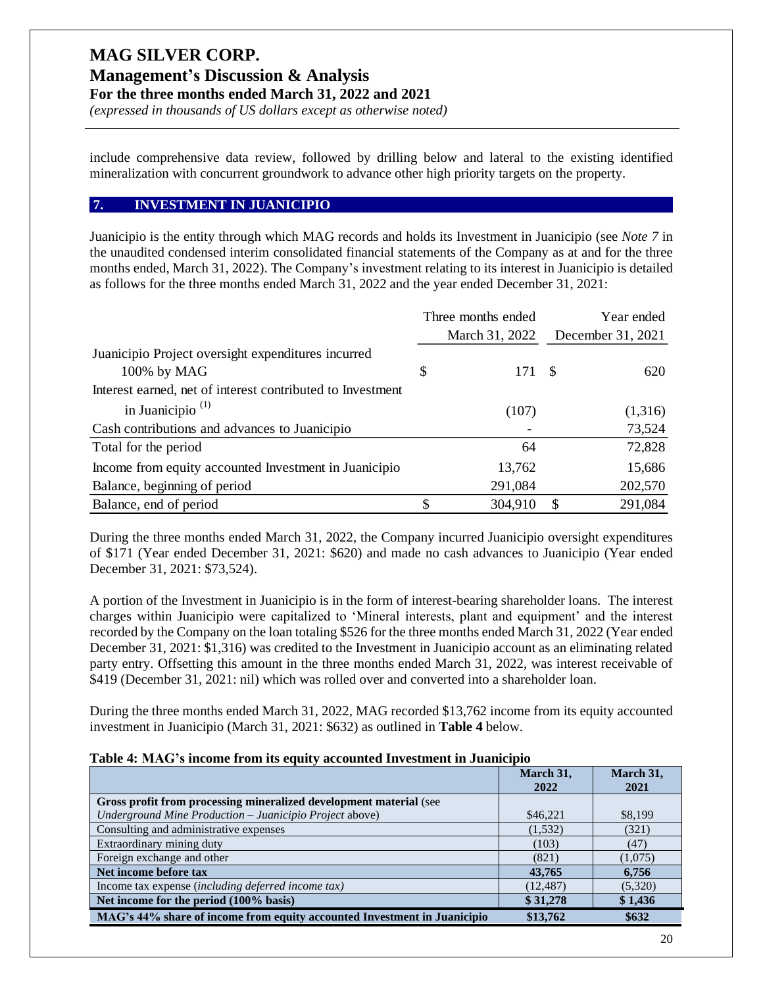*(expressed in thousands of US dollars except as otherwise noted)*

include comprehensive data review, followed by drilling below and lateral to the existing identified mineralization with concurrent groundwork to advance other high priority targets on the property.

#### **7. INVESTMENT IN JUANICIPIO**

Juanicipio is the entity through which MAG records and holds its Investment in Juanicipio (see *Note 7* in the unaudited condensed interim consolidated financial statements of the Company as at and for the three months ended, March 31, 2022). The Company's investment relating to its interest in Juanicipio is detailed as follows for the three months ended March 31, 2022 and the year ended December 31, 2021:

|                                                            | Three months ended |      | Year ended        |
|------------------------------------------------------------|--------------------|------|-------------------|
|                                                            | March 31, 2022     |      | December 31, 2021 |
| Juanicipio Project oversight expenditures incurred         |                    |      |                   |
| 100% by MAG                                                | \$<br>171          | - \$ | 620               |
| Interest earned, net of interest contributed to Investment |                    |      |                   |
| in Juanicipio <sup><math>(1)</math></sup>                  | (107)              |      | (1,316)           |
| Cash contributions and advances to Juanicipio              |                    |      | 73,524            |
| Total for the period                                       | 64                 |      | 72,828            |
| Income from equity accounted Investment in Juanicipio      | 13,762             |      | 15,686            |
| Balance, beginning of period                               | 291,084            |      | 202,570           |
| Balance, end of period                                     | \$<br>304,910      | \$   | 291,084           |

During the three months ended March 31, 2022, the Company incurred Juanicipio oversight expenditures of \$171 (Year ended December 31, 2021: \$620) and made no cash advances to Juanicipio (Year ended December 31, 2021: \$73,524).

A portion of the Investment in Juanicipio is in the form of interest-bearing shareholder loans. The interest charges within Juanicipio were capitalized to 'Mineral interests, plant and equipment' and the interest recorded by the Company on the loan totaling \$526 for the three months ended March 31, 2022 (Year ended December 31, 2021: \$1,316) was credited to the Investment in Juanicipio account as an eliminating related party entry. Offsetting this amount in the three months ended March 31, 2022, was interest receivable of \$419 (December 31, 2021: nil) which was rolled over and converted into a shareholder loan.

During the three months ended March 31, 2022, MAG recorded \$13,762 income from its equity accounted investment in Juanicipio (March 31, 2021: \$632) as outlined in **Table 4** below.

#### **Table 4: MAG's income from its equity accounted Investment in Juanicipio**

|                                                                          | March 31,<br>2022 | March 31,<br>2021 |
|--------------------------------------------------------------------------|-------------------|-------------------|
| Gross profit from processing mineralized development material (see       |                   |                   |
| Underground Mine Production - Juanicipio Project above)                  | \$46,221          | \$8,199           |
| Consulting and administrative expenses                                   | (1,532)           | (321)             |
| Extraordinary mining duty                                                | (103)             | (47)              |
| Foreign exchange and other                                               | (821)             | (1,075)           |
| Net income before tax                                                    | 43,765            | 6,756             |
| Income tax expense (including deferred income tax)                       | (12, 487)         | (5,320)           |
| Net income for the period (100% basis)                                   | \$31,278          | \$1,436           |
| MAG's 44% share of income from equity accounted Investment in Juanicipio | \$13,762          | \$632             |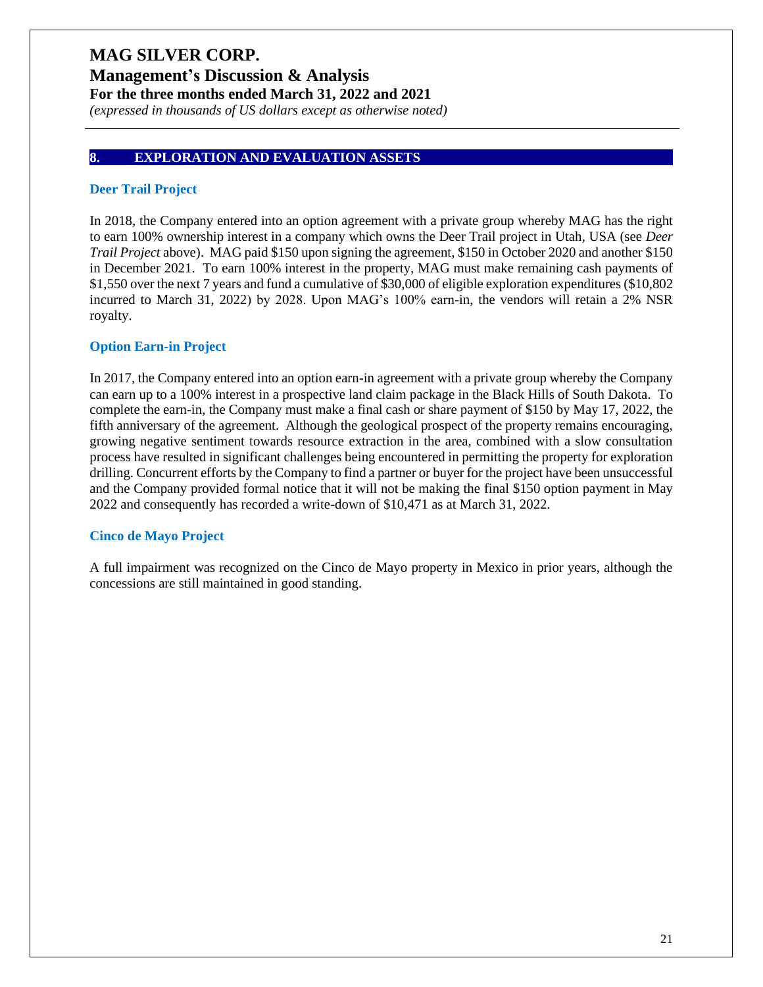## **Management's Discussion & Analysis For the three months ended March 31, 2022 and 2021**

*(expressed in thousands of US dollars except as otherwise noted)*

#### **8. EXPLORATION AND EVALUATION ASSETS**

#### **Deer Trail Project**

In 2018, the Company entered into an option agreement with a private group whereby MAG has the right to earn 100% ownership interest in a company which owns the Deer Trail project in Utah, USA (see *Deer Trail Project* above). MAG paid \$150 upon signing the agreement, \$150 in October 2020 and another \$150 in December 2021. To earn 100% interest in the property, MAG must make remaining cash payments of \$1,550 over the next 7 years and fund a cumulative of \$30,000 of eligible exploration expenditures (\$10,802 incurred to March 31, 2022) by 2028. Upon MAG's 100% earn-in, the vendors will retain a 2% NSR royalty.

#### **Option Earn-in Project**

In 2017, the Company entered into an option earn-in agreement with a private group whereby the Company can earn up to a 100% interest in a prospective land claim package in the Black Hills of South Dakota. To complete the earn-in, the Company must make a final cash or share payment of \$150 by May 17, 2022, the fifth anniversary of the agreement. Although the geological prospect of the property remains encouraging, growing negative sentiment towards resource extraction in the area, combined with a slow consultation process have resulted in significant challenges being encountered in permitting the property for exploration drilling. Concurrent efforts by the Company to find a partner or buyer for the project have been unsuccessful and the Company provided formal notice that it will not be making the final \$150 option payment in May 2022 and consequently has recorded a write-down of \$10,471 as at March 31, 2022.

#### **Cinco de Mayo Project**

A full impairment was recognized on the Cinco de Mayo property in Mexico in prior years, although the concessions are still maintained in good standing.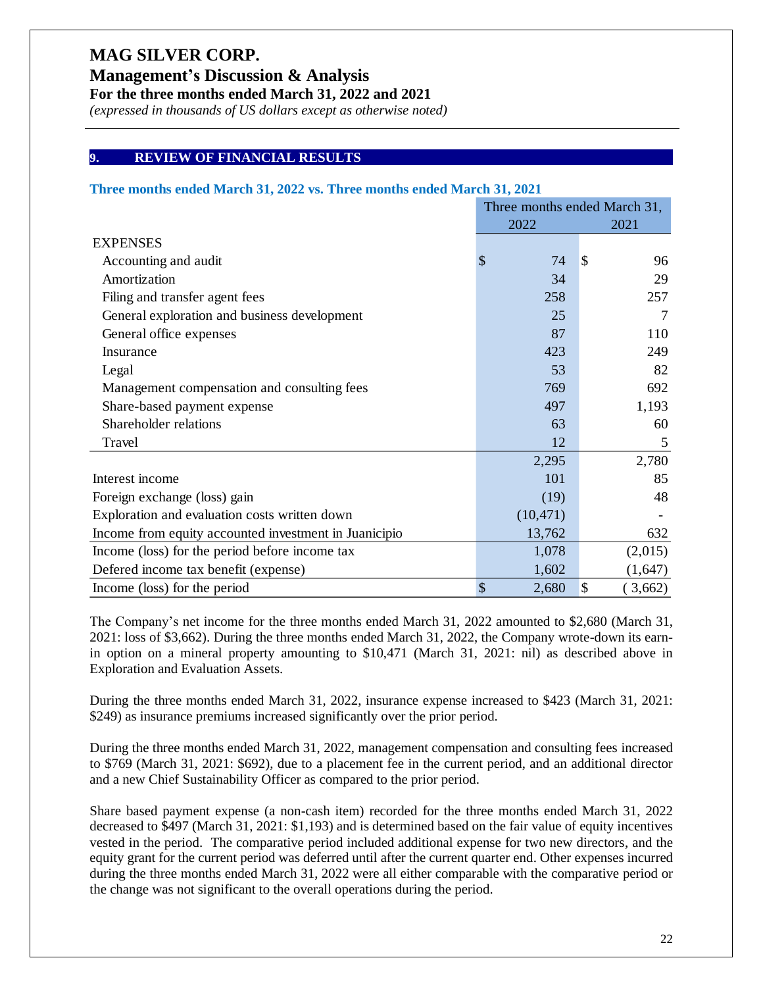**Management's Discussion & Analysis**

**For the three months ended March 31, 2022 and 2021**

*(expressed in thousands of US dollars except as otherwise noted)*

#### **9. REVIEW OF FINANCIAL RESULTS**

#### **Three months ended March 31, 2022 vs. Three months ended March 31, 2021**

|                                                       | Three months ended March 31, |              |                      |  |
|-------------------------------------------------------|------------------------------|--------------|----------------------|--|
|                                                       |                              | 2021<br>2022 |                      |  |
| <b>EXPENSES</b>                                       |                              |              |                      |  |
| Accounting and audit                                  | \$                           | 74           | $\sqrt{3}$<br>96     |  |
| Amortization                                          |                              | 34           | 29                   |  |
| Filing and transfer agent fees                        |                              | 258          | 257                  |  |
| General exploration and business development          |                              | 25           | 7                    |  |
| General office expenses                               |                              | 87           | 110                  |  |
| Insurance                                             |                              | 423          | 249                  |  |
| Legal                                                 |                              | 53           | 82                   |  |
| Management compensation and consulting fees           |                              | 769          | 692                  |  |
| Share-based payment expense                           |                              | 497          | 1,193                |  |
| Shareholder relations                                 |                              | 63           | 60                   |  |
| Travel                                                |                              | 12           | 5                    |  |
|                                                       |                              | 2,295        | 2,780                |  |
| Interest income                                       |                              | 101          | 85                   |  |
| Foreign exchange (loss) gain                          |                              | (19)         | 48                   |  |
| Exploration and evaluation costs written down         |                              | (10, 471)    |                      |  |
| Income from equity accounted investment in Juanicipio |                              | 13,762       | 632                  |  |
| Income (loss) for the period before income tax        |                              | 1,078        | (2,015)              |  |
| Defered income tax benefit (expense)                  |                              | 1,602        | (1,647)              |  |
| Income (loss) for the period                          | \$                           | 2,680        | $\sqrt{3}$<br>3,662) |  |

The Company's net income for the three months ended March 31, 2022 amounted to \$2,680 (March 31, 2021: loss of \$3,662). During the three months ended March 31, 2022, the Company wrote-down its earnin option on a mineral property amounting to \$10,471 (March 31, 2021: nil) as described above in Exploration and Evaluation Assets.

During the three months ended March 31, 2022, insurance expense increased to \$423 (March 31, 2021: \$249) as insurance premiums increased significantly over the prior period.

During the three months ended March 31, 2022, management compensation and consulting fees increased to \$769 (March 31, 2021: \$692), due to a placement fee in the current period, and an additional director and a new Chief Sustainability Officer as compared to the prior period.

Share based payment expense (a non-cash item) recorded for the three months ended March 31, 2022 decreased to \$497 (March 31, 2021: \$1,193) and is determined based on the fair value of equity incentives vested in the period. The comparative period included additional expense for two new directors, and the equity grant for the current period was deferred until after the current quarter end. Other expenses incurred during the three months ended March 31, 2022 were all either comparable with the comparative period or the change was not significant to the overall operations during the period.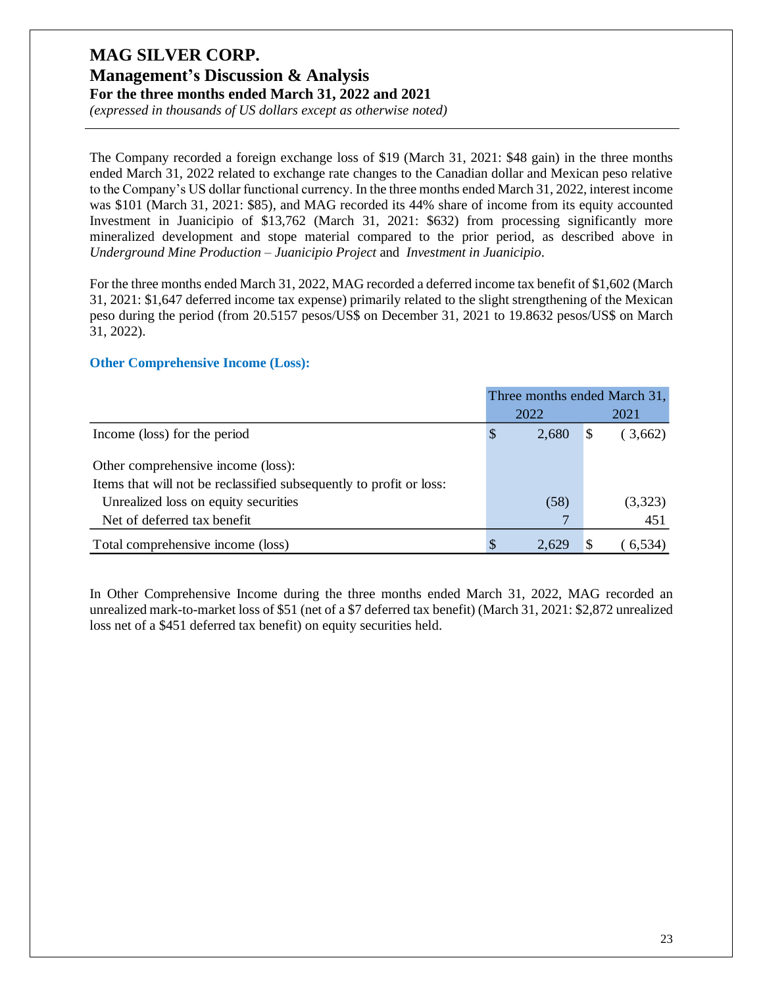*(expressed in thousands of US dollars except as otherwise noted)*

The Company recorded a foreign exchange loss of \$19 (March 31, 2021: \$48 gain) in the three months ended March 31, 2022 related to exchange rate changes to the Canadian dollar and Mexican peso relative to the Company's US dollar functional currency. In the three months ended March 31, 2022, interest income was \$101 (March 31, 2021: \$85), and MAG recorded its 44% share of income from its equity accounted Investment in Juanicipio of \$13,762 (March 31, 2021: \$632) from processing significantly more mineralized development and stope material compared to the prior period, as described above in *Underground Mine Production – Juanicipio Project* and *Investment in Juanicipio*.

For the three months ended March 31, 2022, MAG recorded a deferred income tax benefit of \$1,602 (March 31, 2021: \$1,647 deferred income tax expense) primarily related to the slight strengthening of the Mexican peso during the period (from 20.5157 pesos/US\$ on December 31, 2021 to 19.8632 pesos/US\$ on March 31, 2022).

#### **Other Comprehensive Income (Loss):**

|                                                                     | Three months ended March 31, |       |    |          |
|---------------------------------------------------------------------|------------------------------|-------|----|----------|
|                                                                     |                              | 2022  |    | 2021     |
| Income (loss) for the period                                        | S                            | 2,680 | \$ | (3,662)  |
| Other comprehensive income (loss):                                  |                              |       |    |          |
| Items that will not be reclassified subsequently to profit or loss: |                              |       |    |          |
| Unrealized loss on equity securities                                |                              | (58)  |    | (3,323)  |
| Net of deferred tax benefit                                         |                              |       |    | 451      |
| Total comprehensive income (loss)                                   |                              | 2,629 |    | (6, 534) |

In Other Comprehensive Income during the three months ended March 31, 2022, MAG recorded an unrealized mark-to-market loss of \$51 (net of a \$7 deferred tax benefit) (March 31, 2021: \$2,872 unrealized loss net of a \$451 deferred tax benefit) on equity securities held.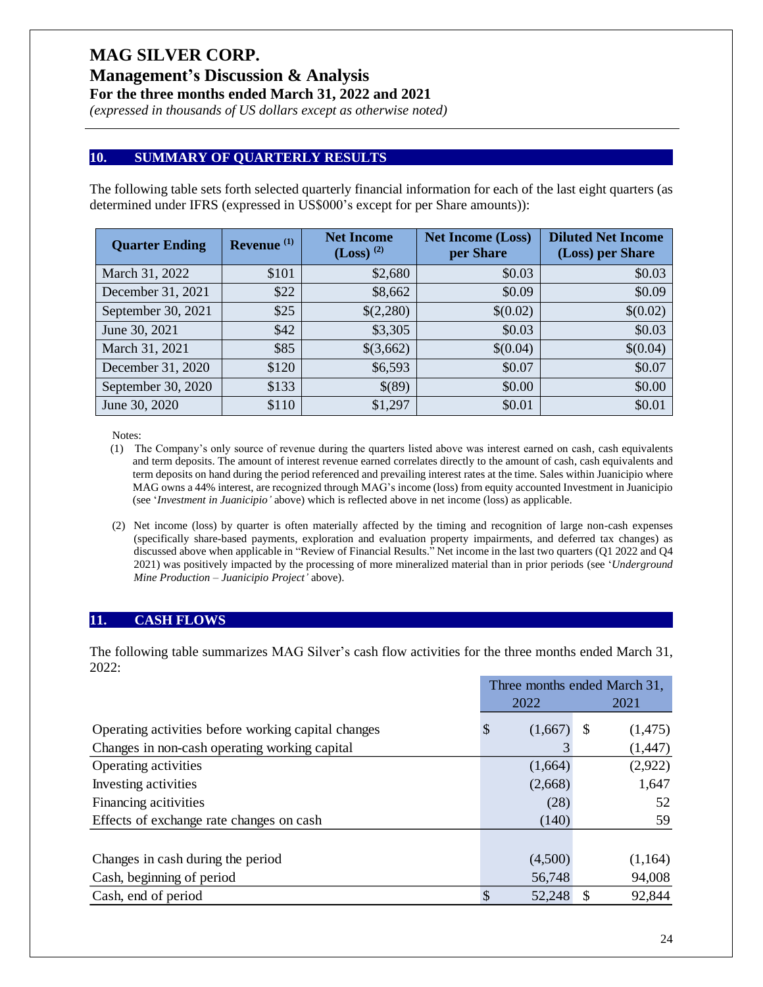**Management's Discussion & Analysis**

**For the three months ended March 31, 2022 and 2021**

*(expressed in thousands of US dollars except as otherwise noted)*

#### **10. SUMMARY OF QUARTERLY RESULTS**

The following table sets forth selected quarterly financial information for each of the last eight quarters (as determined under IFRS (expressed in US\$000's except for per Share amounts)):

| <b>Quarter Ending</b> | Revenue <sup>(1)</sup> | <b>Net Income</b><br>$(Loss)^{(2)}$ | <b>Net Income (Loss)</b><br>per Share | <b>Diluted Net Income</b><br>(Loss) per Share |
|-----------------------|------------------------|-------------------------------------|---------------------------------------|-----------------------------------------------|
| March 31, 2022        | \$101                  | \$2,680                             | \$0.03                                | \$0.03                                        |
| December 31, 2021     | \$22                   | \$8,662                             | \$0.09                                | \$0.09                                        |
| September 30, 2021    | \$25                   | \$(2,280)                           | \$(0.02)                              | \$(0.02)                                      |
| June 30, 2021         | \$42                   | \$3,305                             | \$0.03                                | \$0.03                                        |
| March 31, 2021        | \$85                   | \$(3,662)                           | \$(0.04)                              | \$(0.04)                                      |
| December 31, 2020     | \$120                  | \$6,593                             | \$0.07                                | \$0.07                                        |
| September 30, 2020    | \$133                  | \$(89)                              | \$0.00                                | \$0.00                                        |
| June 30, 2020         | \$110                  | \$1,297                             | \$0.01                                | \$0.01                                        |

Notes:

- (1) The Company's only source of revenue during the quarters listed above was interest earned on cash, cash equivalents and term deposits. The amount of interest revenue earned correlates directly to the amount of cash, cash equivalents and term deposits on hand during the period referenced and prevailing interest rates at the time. Sales within Juanicipio where MAG owns a 44% interest, are recognized through MAG's income (loss) from equity accounted Investment in Juanicipio (see '*Investment in Juanicipio'* above) which is reflected above in net income (loss) as applicable.
- (2) Net income (loss) by quarter is often materially affected by the timing and recognition of large non-cash expenses (specifically share-based payments, exploration and evaluation property impairments, and deferred tax changes) as discussed above when applicable in "Review of Financial Results." Net income in the last two quarters (Q1 2022 and Q4 2021) was positively impacted by the processing of more mineralized material than in prior periods (see '*Underground Mine Production – Juanicipio Project'* above).

#### **11. CASH FLOWS**

The following table summarizes MAG Silver's cash flow activities for the three months ended March 31, 2022:

|                                                     | Three months ended March 31, |                 |  |
|-----------------------------------------------------|------------------------------|-----------------|--|
|                                                     | 2022                         | 2021            |  |
| Operating activities before working capital changes | (1,667)<br>S                 | (1, 475)<br>\$. |  |
| Changes in non-cash operating working capital       |                              | (1, 447)        |  |
| Operating activities                                | (1,664)                      | (2,922)         |  |
| Investing activities                                | (2,668)                      | 1,647           |  |
| Financing acitivities                               | (28)                         | 52              |  |
| Effects of exchange rate changes on cash            | (140)                        | 59              |  |
|                                                     |                              |                 |  |
| Changes in cash during the period                   | (4,500)                      | (1,164)         |  |
| Cash, beginning of period                           | 56,748                       | 94,008          |  |
| Cash, end of period                                 | 52,248                       | 92,844          |  |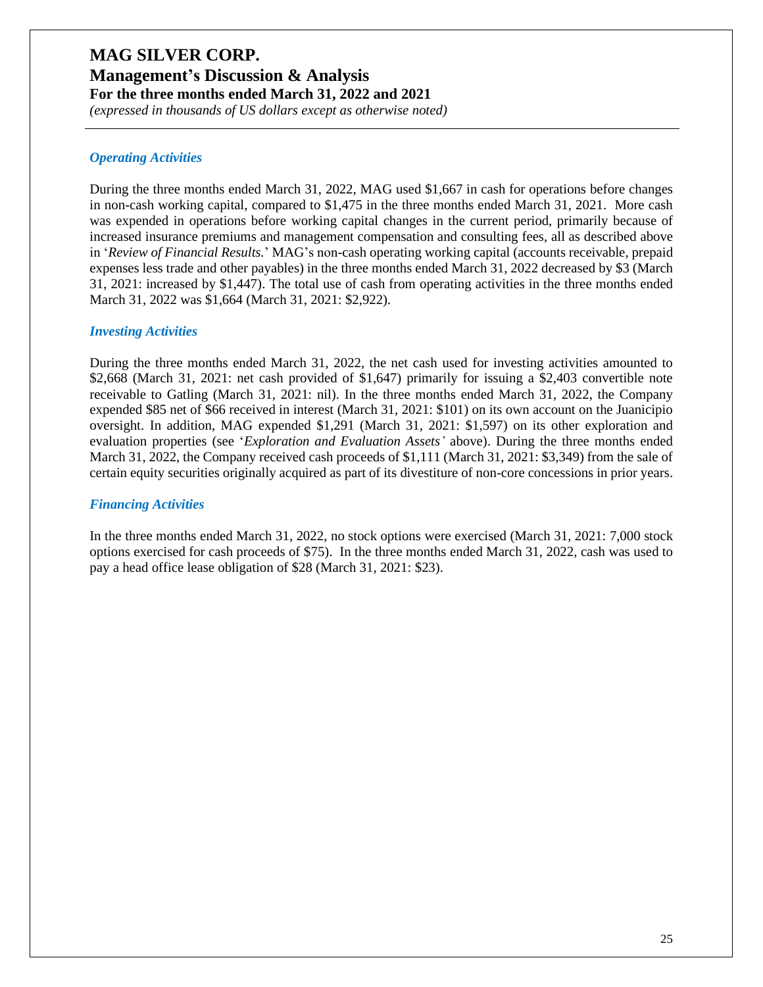## **MAG SILVER CORP. Management's Discussion & Analysis**

**For the three months ended March 31, 2022 and 2021**

*(expressed in thousands of US dollars except as otherwise noted)*

#### *Operating Activities*

During the three months ended March 31, 2022, MAG used \$1,667 in cash for operations before changes in non-cash working capital, compared to \$1,475 in the three months ended March 31, 2021. More cash was expended in operations before working capital changes in the current period, primarily because of increased insurance premiums and management compensation and consulting fees, all as described above in '*Review of Financial Results.*' MAG's non-cash operating working capital (accounts receivable, prepaid expenses less trade and other payables) in the three months ended March 31, 2022 decreased by \$3 (March 31, 2021: increased by \$1,447). The total use of cash from operating activities in the three months ended March 31, 2022 was \$1,664 (March 31, 2021: \$2,922).

#### *Investing Activities*

During the three months ended March 31, 2022, the net cash used for investing activities amounted to \$2,668 (March 31, 2021: net cash provided of \$1,647) primarily for issuing a \$2,403 convertible note receivable to Gatling (March 31, 2021: nil). In the three months ended March 31, 2022, the Company expended \$85 net of \$66 received in interest (March 31, 2021: \$101) on its own account on the Juanicipio oversight. In addition, MAG expended \$1,291 (March 31, 2021: \$1,597) on its other exploration and evaluation properties (see '*Exploration and Evaluation Assets'* above). During the three months ended March 31, 2022, the Company received cash proceeds of \$1,111 (March 31, 2021: \$3,349) from the sale of certain equity securities originally acquired as part of its divestiture of non-core concessions in prior years.

#### *Financing Activities*

In the three months ended March 31, 2022, no stock options were exercised (March 31, 2021: 7,000 stock options exercised for cash proceeds of \$75). In the three months ended March 31, 2022, cash was used to pay a head office lease obligation of \$28 (March 31, 2021: \$23).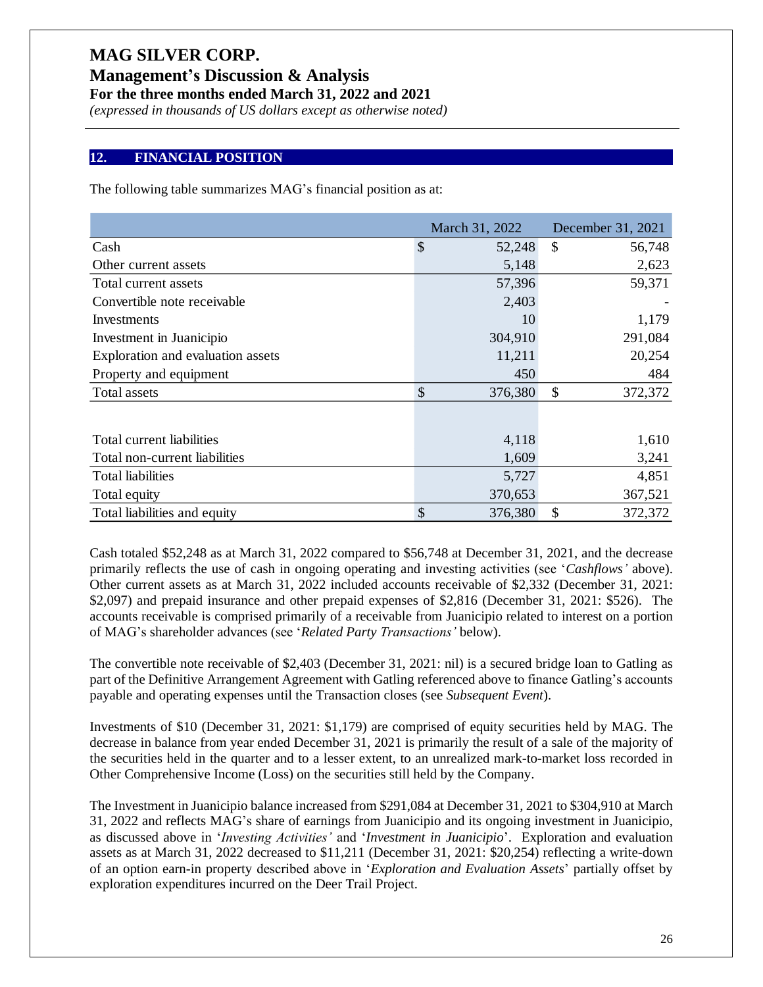**Management's Discussion & Analysis**

**For the three months ended March 31, 2022 and 2021**

*(expressed in thousands of US dollars except as otherwise noted)*

#### **12. FINANCIAL POSITION**

The following table summarizes MAG's financial position as at:

|                                   | March 31, 2022 | December 31, 2021        |
|-----------------------------------|----------------|--------------------------|
| Cash                              | \$<br>52,248   | \$<br>56,748             |
| Other current assets              | 5,148          | 2,623                    |
| Total current assets              | 57,396         | 59,371                   |
| Convertible note receivable       | 2,403          |                          |
| Investments                       | 10             | 1,179                    |
| Investment in Juanicipio          | 304,910        | 291,084                  |
| Exploration and evaluation assets | 11,211         | 20,254                   |
| Property and equipment            | 450            | 484                      |
| Total assets                      | \$<br>376,380  | \$<br>372,372            |
|                                   |                |                          |
| Total current liabilities         | 4,118          | 1,610                    |
| Total non-current liabilities     | 1,609          | 3,241                    |
| <b>Total liabilities</b>          | 5,727          | 4,851                    |
| Total equity                      | 370,653        | 367,521                  |
| Total liabilities and equity      | \$<br>376,380  | $\mathcal{S}$<br>372,372 |

Cash totaled \$52,248 as at March 31, 2022 compared to \$56,748 at December 31, 2021, and the decrease primarily reflects the use of cash in ongoing operating and investing activities (see '*Cashflows'* above). Other current assets as at March 31, 2022 included accounts receivable of \$2,332 (December 31, 2021: \$2,097) and prepaid insurance and other prepaid expenses of \$2,816 (December 31, 2021: \$526). The accounts receivable is comprised primarily of a receivable from Juanicipio related to interest on a portion of MAG's shareholder advances (see '*Related Party Transactions'* below).

The convertible note receivable of \$2,403 (December 31, 2021: nil) is a secured bridge loan to Gatling as part of the Definitive Arrangement Agreement with Gatling referenced above to finance Gatling's accounts payable and operating expenses until the Transaction closes (see *Subsequent Event*).

Investments of \$10 (December 31, 2021: \$1,179) are comprised of equity securities held by MAG. The decrease in balance from year ended December 31, 2021 is primarily the result of a sale of the majority of the securities held in the quarter and to a lesser extent, to an unrealized mark-to-market loss recorded in Other Comprehensive Income (Loss) on the securities still held by the Company.

The Investment in Juanicipio balance increased from \$291,084 at December 31, 2021 to \$304,910 at March 31, 2022 and reflects MAG's share of earnings from Juanicipio and its ongoing investment in Juanicipio, as discussed above in '*Investing Activities'* and '*Investment in Juanicipio*'. Exploration and evaluation assets as at March 31, 2022 decreased to \$11,211 (December 31, 2021: \$20,254) reflecting a write-down of an option earn-in property described above in '*Exploration and Evaluation Assets*' partially offset by exploration expenditures incurred on the Deer Trail Project.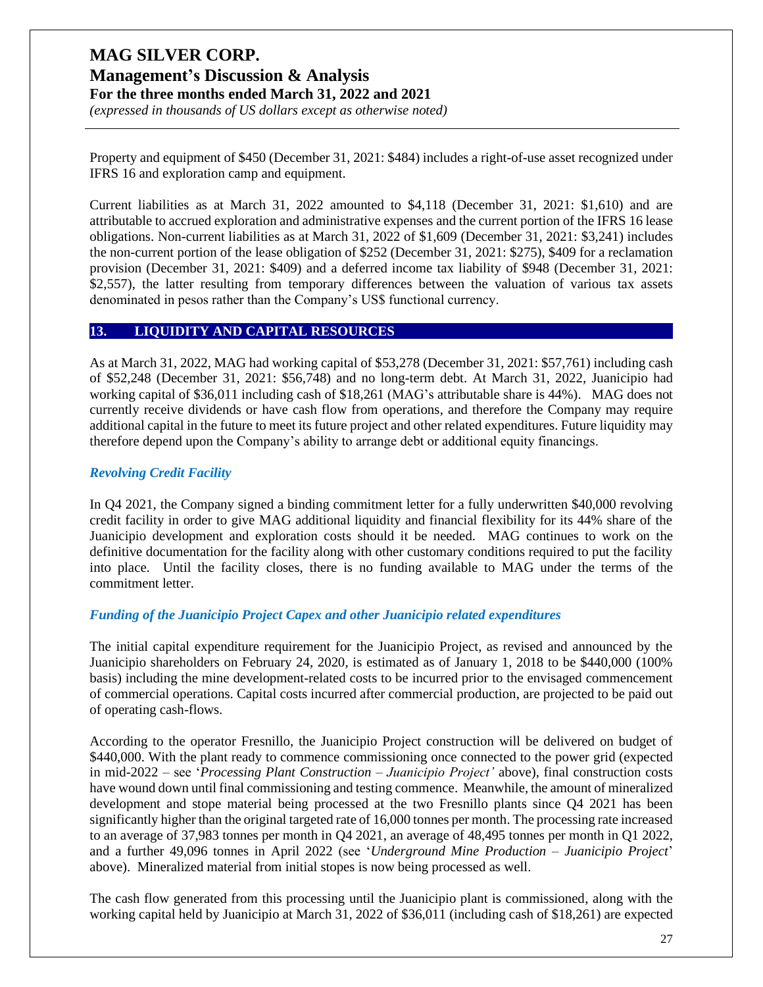## **MAG SILVER CORP. Management's Discussion & Analysis**

**For the three months ended March 31, 2022 and 2021**

*(expressed in thousands of US dollars except as otherwise noted)*

Property and equipment of \$450 (December 31, 2021: \$484) includes a right-of-use asset recognized under IFRS 16 and exploration camp and equipment.

Current liabilities as at March 31, 2022 amounted to \$4,118 (December 31, 2021: \$1,610) and are attributable to accrued exploration and administrative expenses and the current portion of the IFRS 16 lease obligations. Non-current liabilities as at March 31, 2022 of \$1,609 (December 31, 2021: \$3,241) includes the non-current portion of the lease obligation of \$252 (December 31, 2021: \$275), \$409 for a reclamation provision (December 31, 2021: \$409) and a deferred income tax liability of \$948 (December 31, 2021: \$2,557), the latter resulting from temporary differences between the valuation of various tax assets denominated in pesos rather than the Company's US\$ functional currency.

#### **13. LIQUIDITY AND CAPITAL RESOURCES**

As at March 31, 2022, MAG had working capital of \$53,278 (December 31, 2021: \$57,761) including cash of \$52,248 (December 31, 2021: \$56,748) and no long-term debt. At March 31, 2022, Juanicipio had working capital of \$36,011 including cash of \$18,261 (MAG's attributable share is 44%). MAG does not currently receive dividends or have cash flow from operations, and therefore the Company may require additional capital in the future to meet its future project and other related expenditures. Future liquidity may therefore depend upon the Company's ability to arrange debt or additional equity financings.

#### *Revolving Credit Facility*

In Q4 2021, the Company signed a binding commitment letter for a fully underwritten \$40,000 revolving credit facility in order to give MAG additional liquidity and financial flexibility for its 44% share of the Juanicipio development and exploration costs should it be needed. MAG continues to work on the definitive documentation for the facility along with other customary conditions required to put the facility into place. Until the facility closes, there is no funding available to MAG under the terms of the commitment letter.

#### *Funding of the Juanicipio Project Capex and other Juanicipio related expenditures*

The initial capital expenditure requirement for the Juanicipio Project, as revised and announced by the Juanicipio shareholders on February 24, 2020, is estimated as of January 1, 2018 to be \$440,000 (100% basis) including the mine development-related costs to be incurred prior to the envisaged commencement of commercial operations. Capital costs incurred after commercial production, are projected to be paid out of operating cash-flows.

According to the operator Fresnillo, the Juanicipio Project construction will be delivered on budget of \$440,000. With the plant ready to commence commissioning once connected to the power grid (expected in mid-2022 – see '*Processing Plant Construction – Juanicipio Project'* above), final construction costs have wound down until final commissioning and testing commence. Meanwhile, the amount of mineralized development and stope material being processed at the two Fresnillo plants since Q4 2021 has been significantly higher than the original targeted rate of 16,000 tonnes per month. The processing rate increased to an average of 37,983 tonnes per month in Q4 2021, an average of 48,495 tonnes per month in Q1 2022, and a further 49,096 tonnes in April 2022 (see '*Underground Mine Production – Juanicipio Project*' above). Mineralized material from initial stopes is now being processed as well.

The cash flow generated from this processing until the Juanicipio plant is commissioned, along with the working capital held by Juanicipio at March 31, 2022 of \$36,011 (including cash of \$18,261) are expected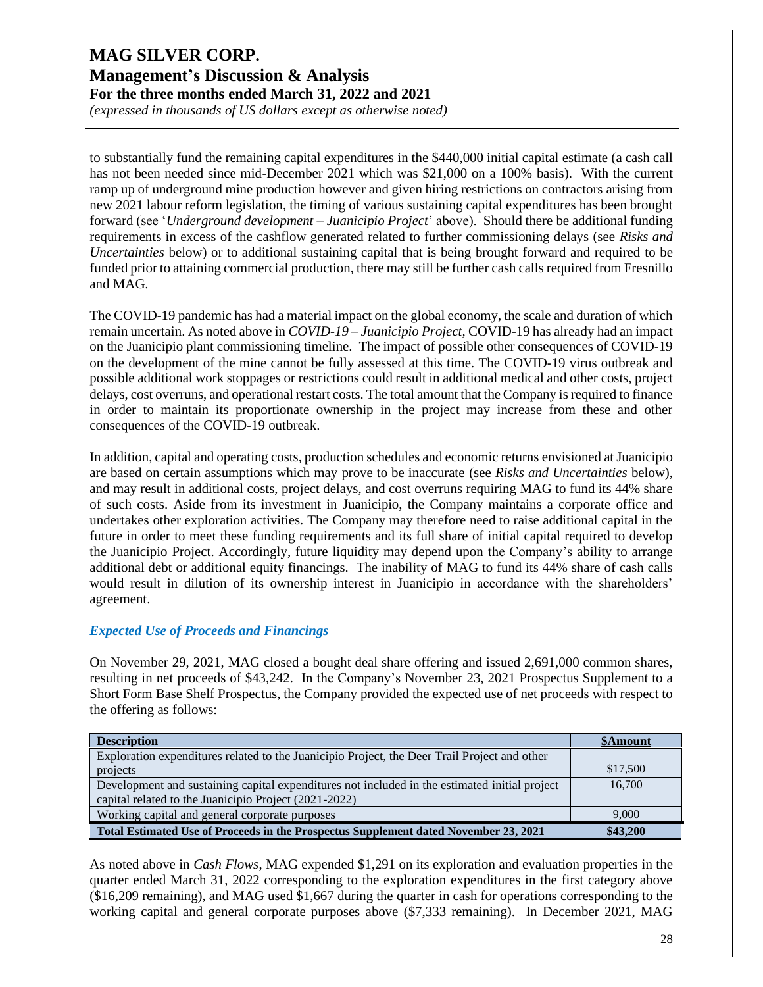*(expressed in thousands of US dollars except as otherwise noted)*

to substantially fund the remaining capital expenditures in the \$440,000 initial capital estimate (a cash call has not been needed since mid-December 2021 which was \$21,000 on a 100% basis). With the current ramp up of underground mine production however and given hiring restrictions on contractors arising from new 2021 labour reform legislation, the timing of various sustaining capital expenditures has been brought forward (see '*Underground development – Juanicipio Project*' above). Should there be additional funding requirements in excess of the cashflow generated related to further commissioning delays (see *Risks and Uncertainties* below) or to additional sustaining capital that is being brought forward and required to be funded prior to attaining commercial production, there may still be further cash calls required from Fresnillo and MAG.

The COVID-19 pandemic has had a material impact on the global economy, the scale and duration of which remain uncertain. As noted above in *COVID-19 – Juanicipio Project,* COVID-19 has already had an impact on the Juanicipio plant commissioning timeline. The impact of possible other consequences of COVID-19 on the development of the mine cannot be fully assessed at this time. The COVID-19 virus outbreak and possible additional work stoppages or restrictions could result in additional medical and other costs, project delays, cost overruns, and operational restart costs. The total amount that the Company is required to finance in order to maintain its proportionate ownership in the project may increase from these and other consequences of the COVID-19 outbreak.

In addition, capital and operating costs, production schedules and economic returns envisioned at Juanicipio are based on certain assumptions which may prove to be inaccurate (see *Risks and Uncertainties* below), and may result in additional costs, project delays, and cost overruns requiring MAG to fund its 44% share of such costs. Aside from its investment in Juanicipio, the Company maintains a corporate office and undertakes other exploration activities. The Company may therefore need to raise additional capital in the future in order to meet these funding requirements and its full share of initial capital required to develop the Juanicipio Project. Accordingly, future liquidity may depend upon the Company's ability to arrange additional debt or additional equity financings. The inability of MAG to fund its 44% share of cash calls would result in dilution of its ownership interest in Juanicipio in accordance with the shareholders' agreement.

#### *Expected Use of Proceeds and Financings*

On November 29, 2021, MAG closed a bought deal share offering and issued 2,691,000 common shares, resulting in net proceeds of \$43,242. In the Company's November 23, 2021 Prospectus Supplement to a Short Form Base Shelf Prospectus, the Company provided the expected use of net proceeds with respect to the offering as follows:

| <b>Description</b>                                                                            | <b>\$Amount</b> |
|-----------------------------------------------------------------------------------------------|-----------------|
| Exploration expenditures related to the Juanicipio Project, the Deer Trail Project and other  |                 |
| projects                                                                                      | \$17,500        |
| Development and sustaining capital expenditures not included in the estimated initial project | 16,700          |
| capital related to the Juanicipio Project (2021-2022)                                         |                 |
| Working capital and general corporate purposes                                                | 9.000           |
| Total Estimated Use of Proceeds in the Prospectus Supplement dated November 23, 2021          | \$43,200        |

As noted above in *Cash Flows*, MAG expended \$1,291 on its exploration and evaluation properties in the quarter ended March 31, 2022 corresponding to the exploration expenditures in the first category above (\$16,209 remaining), and MAG used \$1,667 during the quarter in cash for operations corresponding to the working capital and general corporate purposes above (\$7,333 remaining). In December 2021, MAG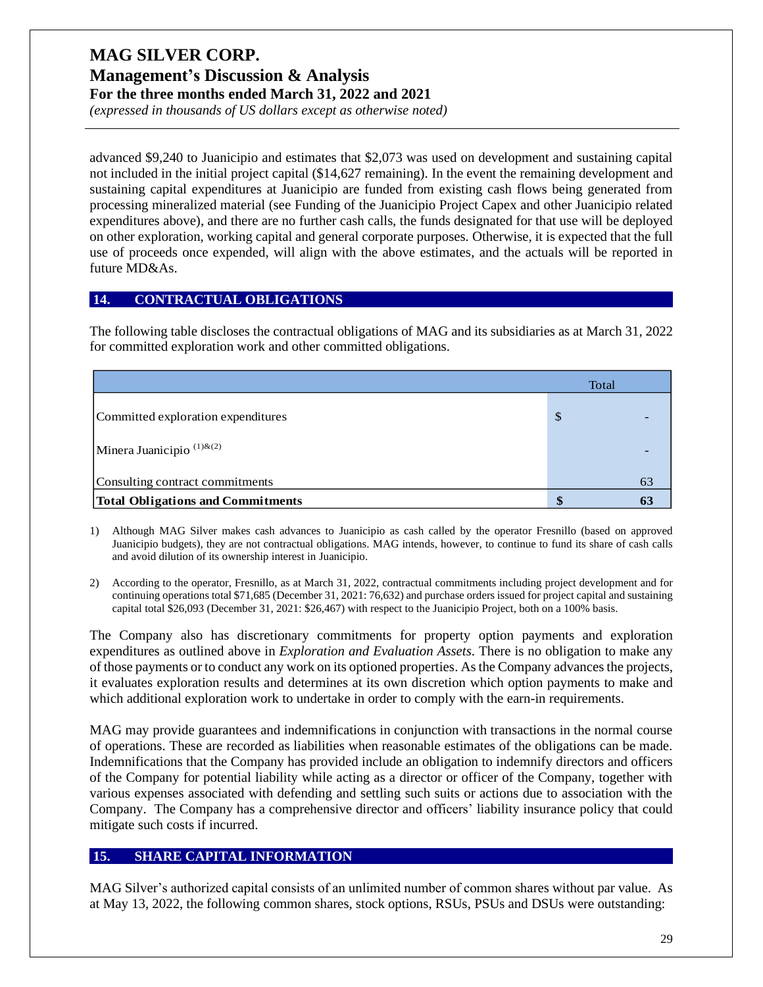**Management's Discussion & Analysis For the three months ended March 31, 2022 and 2021**

*(expressed in thousands of US dollars except as otherwise noted)*

advanced \$9,240 to Juanicipio and estimates that \$2,073 was used on development and sustaining capital not included in the initial project capital (\$14,627 remaining). In the event the remaining development and sustaining capital expenditures at Juanicipio are funded from existing cash flows being generated from processing mineralized material (see Funding of the Juanicipio Project Capex and other Juanicipio related expenditures above), and there are no further cash calls, the funds designated for that use will be deployed on other exploration, working capital and general corporate purposes. Otherwise, it is expected that the full use of proceeds once expended, will align with the above estimates, and the actuals will be reported in future MD&As.

#### **14. CONTRACTUAL OBLIGATIONS**

The following table discloses the contractual obligations of MAG and its subsidiaries as at March 31, 2022 for committed exploration work and other committed obligations.

|                                          | Total                     |    |
|------------------------------------------|---------------------------|----|
| Committed exploration expenditures       | $\boldsymbol{\mathsf{S}}$ |    |
| Minera Juanicipio $^{(1)\&(2)}$          |                           |    |
| Consulting contract commitments          |                           | 63 |
| <b>Total Obligations and Commitments</b> | \$                        | 63 |
|                                          |                           |    |

- 1) Although MAG Silver makes cash advances to Juanicipio as cash called by the operator Fresnillo (based on approved Juanicipio budgets), they are not contractual obligations. MAG intends, however, to continue to fund its share of cash calls and avoid dilution of its ownership interest in Juanicipio.
- 2) According to the operator, Fresnillo, as at March 31, 2022, contractual commitments including project development and for continuing operations total \$71,685 (December 31, 2021: 76,632) and purchase orders issued for project capital and sustaining capital total \$26,093 (December 31, 2021: \$26,467) with respect to the Juanicipio Project, both on a 100% basis.

The Company also has discretionary commitments for property option payments and exploration expenditures as outlined above in *Exploration and Evaluation Assets*. There is no obligation to make any of those payments or to conduct any work on its optioned properties. As the Company advancesthe projects, it evaluates exploration results and determines at its own discretion which option payments to make and which additional exploration work to undertake in order to comply with the earn-in requirements.

MAG may provide guarantees and indemnifications in conjunction with transactions in the normal course of operations. These are recorded as liabilities when reasonable estimates of the obligations can be made. Indemnifications that the Company has provided include an obligation to indemnify directors and officers of the Company for potential liability while acting as a director or officer of the Company, together with various expenses associated with defending and settling such suits or actions due to association with the Company. The Company has a comprehensive director and officers' liability insurance policy that could mitigate such costs if incurred.

### **15. SHARE CAPITAL INFORMATION**

MAG Silver's authorized capital consists of an unlimited number of common shares without par value. As at May 13, 2022, the following common shares, stock options, RSUs, PSUs and DSUs were outstanding: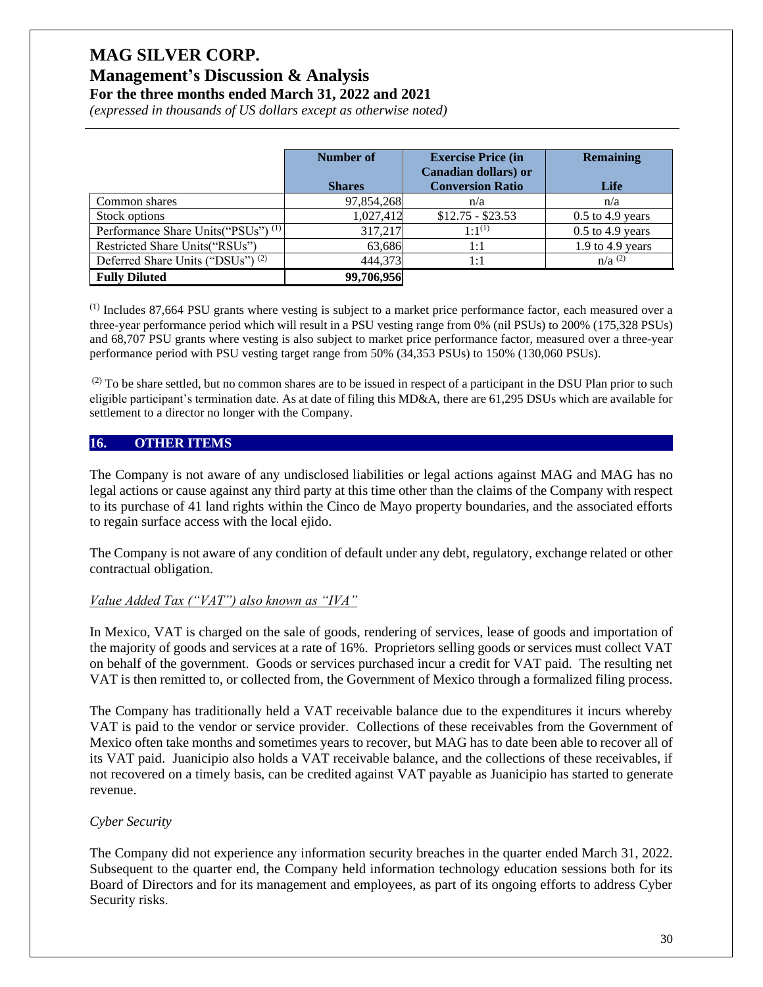#### **Management's Discussion & Analysis For the three months ended March 31, 2022 and 2021**

*(expressed in thousands of US dollars except as otherwise noted)*

|                                                | Number of<br><b>Shares</b> | <b>Exercise Price (in</b><br><b>Canadian dollars</b> ) or<br><b>Conversion Ratio</b> | <b>Remaining</b><br>Life |
|------------------------------------------------|----------------------------|--------------------------------------------------------------------------------------|--------------------------|
| Common shares                                  | 97,854,268                 | n/a                                                                                  | n/a                      |
| Stock options                                  | 1,027,412                  | $$12.75 - $23.53$                                                                    | $0.5$ to 4.9 years       |
| Performance Share Units("PSUs") <sup>(1)</sup> | 317,217                    | $1:1^{(1)}$                                                                          | $0.5$ to 4.9 years       |
| Restricted Share Units ("RSUs")                | 63,686                     | 1:1                                                                                  | 1.9 to 4.9 years         |
| Deferred Share Units ("DSUs") <sup>(2)</sup>   | 444,373                    | 1:1                                                                                  | $n/a^{(2)}$              |
| <b>Fully Diluted</b>                           | 99,706,956                 |                                                                                      |                          |

 $<sup>(1)</sup>$  Includes 87,664 PSU grants where vesting is subject to a market price performance factor, each measured over a</sup> three-year performance period which will result in a PSU vesting range from 0% (nil PSUs) to 200% (175,328 PSUs) and 68,707 PSU grants where vesting is also subject to market price performance factor, measured over a three-year performance period with PSU vesting target range from 50% (34,353 PSUs) to 150% (130,060 PSUs).

 $^{(2)}$  To be share settled, but no common shares are to be issued in respect of a participant in the DSU Plan prior to such eligible participant's termination date. As at date of filing this MD&A, there are 61,295 DSUs which are available for settlement to a director no longer with the Company.

#### **16. OTHER ITEMS**

The Company is not aware of any undisclosed liabilities or legal actions against MAG and MAG has no legal actions or cause against any third party at this time other than the claims of the Company with respect to its purchase of 41 land rights within the Cinco de Mayo property boundaries, and the associated efforts to regain surface access with the local ejido.

The Company is not aware of any condition of default under any debt, regulatory, exchange related or other contractual obligation.

#### *Value Added Tax ("VAT") also known as "IVA"*

In Mexico, VAT is charged on the sale of goods, rendering of services, lease of goods and importation of the majority of goods and services at a rate of 16%. Proprietors selling goods or services must collect VAT on behalf of the government. Goods or services purchased incur a credit for VAT paid. The resulting net VAT is then remitted to, or collected from, the Government of Mexico through a formalized filing process.

The Company has traditionally held a VAT receivable balance due to the expenditures it incurs whereby VAT is paid to the vendor or service provider. Collections of these receivables from the Government of Mexico often take months and sometimes years to recover, but MAG has to date been able to recover all of its VAT paid. Juanicipio also holds a VAT receivable balance, and the collections of these receivables, if not recovered on a timely basis, can be credited against VAT payable as Juanicipio has started to generate revenue.

#### *Cyber Security*

The Company did not experience any information security breaches in the quarter ended March 31, 2022. Subsequent to the quarter end, the Company held information technology education sessions both for its Board of Directors and for its management and employees, as part of its ongoing efforts to address Cyber Security risks.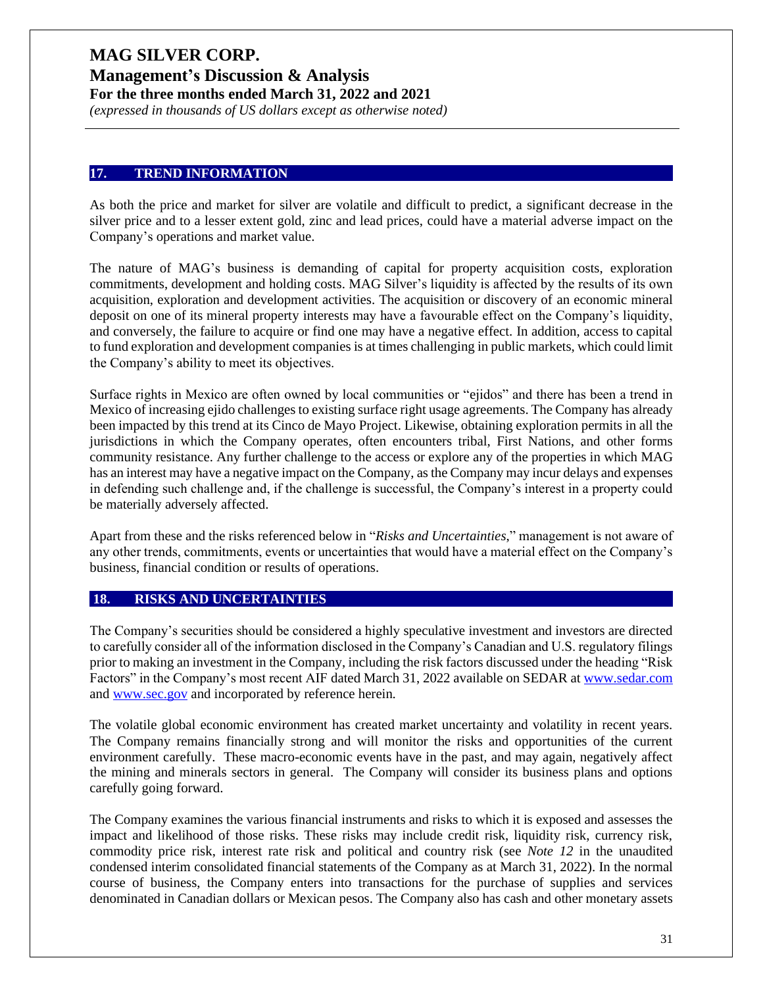**Management's Discussion & Analysis For the three months ended March 31, 2022 and 2021**

*(expressed in thousands of US dollars except as otherwise noted)*

#### **17. TREND INFORMATION**

As both the price and market for silver are volatile and difficult to predict, a significant decrease in the silver price and to a lesser extent gold, zinc and lead prices, could have a material adverse impact on the Company's operations and market value.

The nature of MAG's business is demanding of capital for property acquisition costs, exploration commitments, development and holding costs. MAG Silver's liquidity is affected by the results of its own acquisition, exploration and development activities. The acquisition or discovery of an economic mineral deposit on one of its mineral property interests may have a favourable effect on the Company's liquidity, and conversely, the failure to acquire or find one may have a negative effect. In addition, access to capital to fund exploration and development companies is at times challenging in public markets, which could limit the Company's ability to meet its objectives.

Surface rights in Mexico are often owned by local communities or "ejidos" and there has been a trend in Mexico of increasing ejido challenges to existing surface right usage agreements. The Company has already been impacted by this trend at its Cinco de Mayo Project. Likewise, obtaining exploration permits in all the jurisdictions in which the Company operates, often encounters tribal, First Nations, and other forms community resistance. Any further challenge to the access or explore any of the properties in which MAG has an interest may have a negative impact on the Company, as the Company may incur delays and expenses in defending such challenge and, if the challenge is successful, the Company's interest in a property could be materially adversely affected.

Apart from these and the risks referenced below in "*Risks and Uncertainties*," management is not aware of any other trends, commitments, events or uncertainties that would have a material effect on the Company's business, financial condition or results of operations.

#### **18. RISKS AND UNCERTAINTIES**

The Company's securities should be considered a highly speculative investment and investors are directed to carefully consider all of the information disclosed in the Company's Canadian and U.S. regulatory filings prior to making an investment in the Company, including the risk factors discussed under the heading "Risk Factors" in the Company's most recent AIF dated March 31, 2022 available on SEDAR a[t www.sedar.com](http://www.sedar.com/) and [www.sec.gov](http://www.sec.gov/) and incorporated by reference herein.

The volatile global economic environment has created market uncertainty and volatility in recent years. The Company remains financially strong and will monitor the risks and opportunities of the current environment carefully. These macro-economic events have in the past, and may again, negatively affect the mining and minerals sectors in general. The Company will consider its business plans and options carefully going forward.

The Company examines the various financial instruments and risks to which it is exposed and assesses the impact and likelihood of those risks. These risks may include credit risk, liquidity risk, currency risk, commodity price risk, interest rate risk and political and country risk (see *Note 12* in the unaudited condensed interim consolidated financial statements of the Company as at March 31, 2022). In the normal course of business, the Company enters into transactions for the purchase of supplies and services denominated in Canadian dollars or Mexican pesos. The Company also has cash and other monetary assets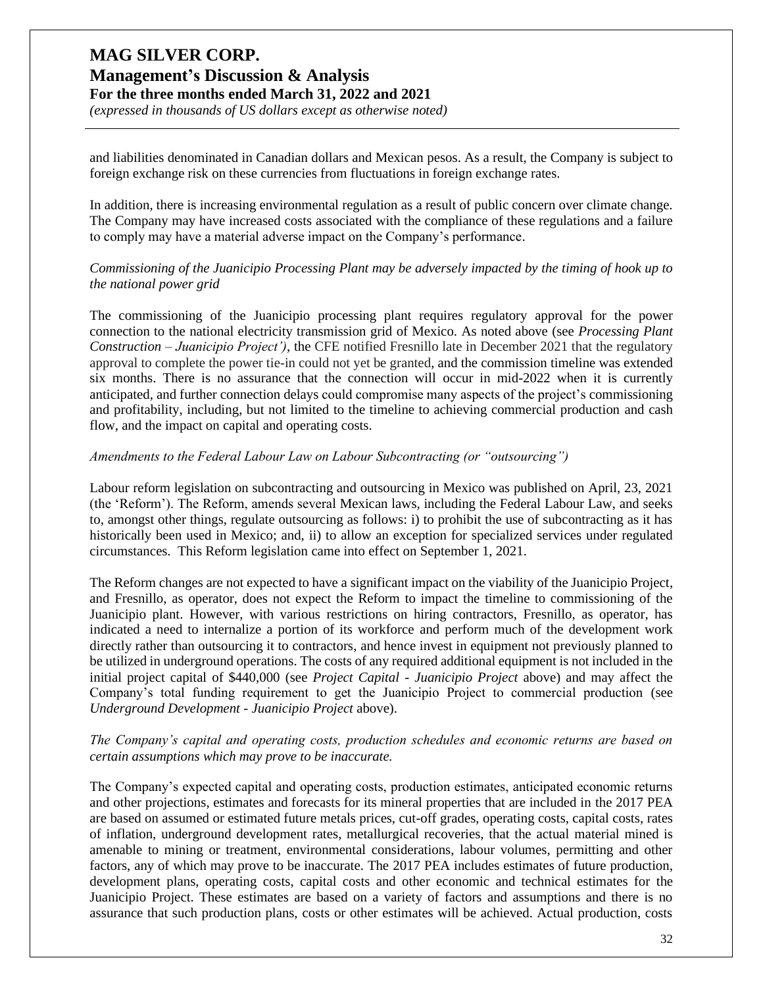# **MAG SILVER CORP. Management's Discussion & Analysis**

**For the three months ended March 31, 2022 and 2021**

*(expressed in thousands of US dollars except as otherwise noted)*

and liabilities denominated in Canadian dollars and Mexican pesos. As a result, the Company is subject to foreign exchange risk on these currencies from fluctuations in foreign exchange rates.

In addition, there is increasing environmental regulation as a result of public concern over climate change. The Company may have increased costs associated with the compliance of these regulations and a failure to comply may have a material adverse impact on the Company's performance.

#### *Commissioning of the Juanicipio Processing Plant may be adversely impacted by the timing of hook up to the national power grid*

The commissioning of the Juanicipio processing plant requires regulatory approval for the power connection to the national electricity transmission grid of Mexico. As noted above (see *Processing Plant Construction – Juanicipio Project')*, the CFE notified Fresnillo late in December 2021 that the regulatory approval to complete the power tie-in could not yet be granted, and the commission timeline was extended six months. There is no assurance that the connection will occur in mid-2022 when it is currently anticipated, and further connection delays could compromise many aspects of the project's commissioning and profitability, including, but not limited to the timeline to achieving commercial production and cash flow, and the impact on capital and operating costs.

#### *Amendments to the Federal Labour Law on Labour Subcontracting (or "outsourcing")*

Labour reform legislation on subcontracting and outsourcing in Mexico was published on April, 23, 2021 (the 'Reform'). The Reform, amends several Mexican laws, including the Federal Labour Law, and seeks to, amongst other things, regulate outsourcing as follows: i) to prohibit the use of subcontracting as it has historically been used in Mexico; and, ii) to allow an exception for specialized services under regulated circumstances. This Reform legislation came into effect on September 1, 2021.

The Reform changes are not expected to have a significant impact on the viability of the Juanicipio Project, and Fresnillo, as operator, does not expect the Reform to impact the timeline to commissioning of the Juanicipio plant. However, with various restrictions on hiring contractors, Fresnillo, as operator, has indicated a need to internalize a portion of its workforce and perform much of the development work directly rather than outsourcing it to contractors, and hence invest in equipment not previously planned to be utilized in underground operations. The costs of any required additional equipment is not included in the initial project capital of \$440,000 (see *Project Capital - Juanicipio Project* above) and may affect the Company's total funding requirement to get the Juanicipio Project to commercial production (see *Underground Development - Juanicipio Project* above).

#### *The Company's capital and operating costs, production schedules and economic returns are based on certain assumptions which may prove to be inaccurate.*

The Company's expected capital and operating costs, production estimates, anticipated economic returns and other projections, estimates and forecasts for its mineral properties that are included in the 2017 PEA are based on assumed or estimated future metals prices, cut-off grades, operating costs, capital costs, rates of inflation, underground development rates, metallurgical recoveries, that the actual material mined is amenable to mining or treatment, environmental considerations, labour volumes, permitting and other factors, any of which may prove to be inaccurate. The 2017 PEA includes estimates of future production, development plans, operating costs, capital costs and other economic and technical estimates for the Juanicipio Project. These estimates are based on a variety of factors and assumptions and there is no assurance that such production plans, costs or other estimates will be achieved. Actual production, costs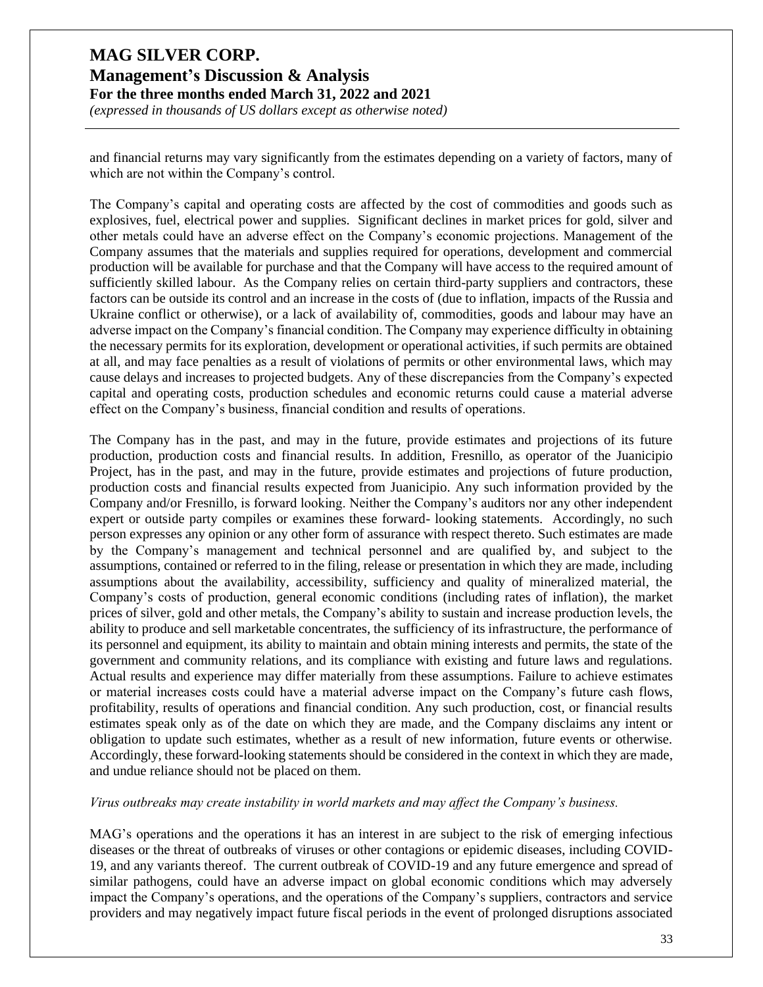*(expressed in thousands of US dollars except as otherwise noted)*

and financial returns may vary significantly from the estimates depending on a variety of factors, many of which are not within the Company's control.

The Company's capital and operating costs are affected by the cost of commodities and goods such as explosives, fuel, electrical power and supplies. Significant declines in market prices for gold, silver and other metals could have an adverse effect on the Company's economic projections. Management of the Company assumes that the materials and supplies required for operations, development and commercial production will be available for purchase and that the Company will have access to the required amount of sufficiently skilled labour. As the Company relies on certain third-party suppliers and contractors, these factors can be outside its control and an increase in the costs of (due to inflation, impacts of the Russia and Ukraine conflict or otherwise), or a lack of availability of, commodities, goods and labour may have an adverse impact on the Company's financial condition. The Company may experience difficulty in obtaining the necessary permits for its exploration, development or operational activities, if such permits are obtained at all, and may face penalties as a result of violations of permits or other environmental laws, which may cause delays and increases to projected budgets. Any of these discrepancies from the Company's expected capital and operating costs, production schedules and economic returns could cause a material adverse effect on the Company's business, financial condition and results of operations.

The Company has in the past, and may in the future, provide estimates and projections of its future production, production costs and financial results. In addition, Fresnillo, as operator of the Juanicipio Project, has in the past, and may in the future, provide estimates and projections of future production, production costs and financial results expected from Juanicipio. Any such information provided by the Company and/or Fresnillo, is forward looking. Neither the Company's auditors nor any other independent expert or outside party compiles or examines these forward- looking statements. Accordingly, no such person expresses any opinion or any other form of assurance with respect thereto. Such estimates are made by the Company's management and technical personnel and are qualified by, and subject to the assumptions, contained or referred to in the filing, release or presentation in which they are made, including assumptions about the availability, accessibility, sufficiency and quality of mineralized material, the Company's costs of production, general economic conditions (including rates of inflation), the market prices of silver, gold and other metals, the Company's ability to sustain and increase production levels, the ability to produce and sell marketable concentrates, the sufficiency of its infrastructure, the performance of its personnel and equipment, its ability to maintain and obtain mining interests and permits, the state of the government and community relations, and its compliance with existing and future laws and regulations. Actual results and experience may differ materially from these assumptions. Failure to achieve estimates or material increases costs could have a material adverse impact on the Company's future cash flows, profitability, results of operations and financial condition. Any such production, cost, or financial results estimates speak only as of the date on which they are made, and the Company disclaims any intent or obligation to update such estimates, whether as a result of new information, future events or otherwise. Accordingly, these forward-looking statements should be considered in the context in which they are made, and undue reliance should not be placed on them.

#### *Virus outbreaks may create instability in world markets and may affect the Company's business.*

MAG's operations and the operations it has an interest in are subject to the risk of emerging infectious diseases or the threat of outbreaks of viruses or other contagions or epidemic diseases, including COVID-19, and any variants thereof. The current outbreak of COVID-19 and any future emergence and spread of similar pathogens, could have an adverse impact on global economic conditions which may adversely impact the Company's operations, and the operations of the Company's suppliers, contractors and service providers and may negatively impact future fiscal periods in the event of prolonged disruptions associated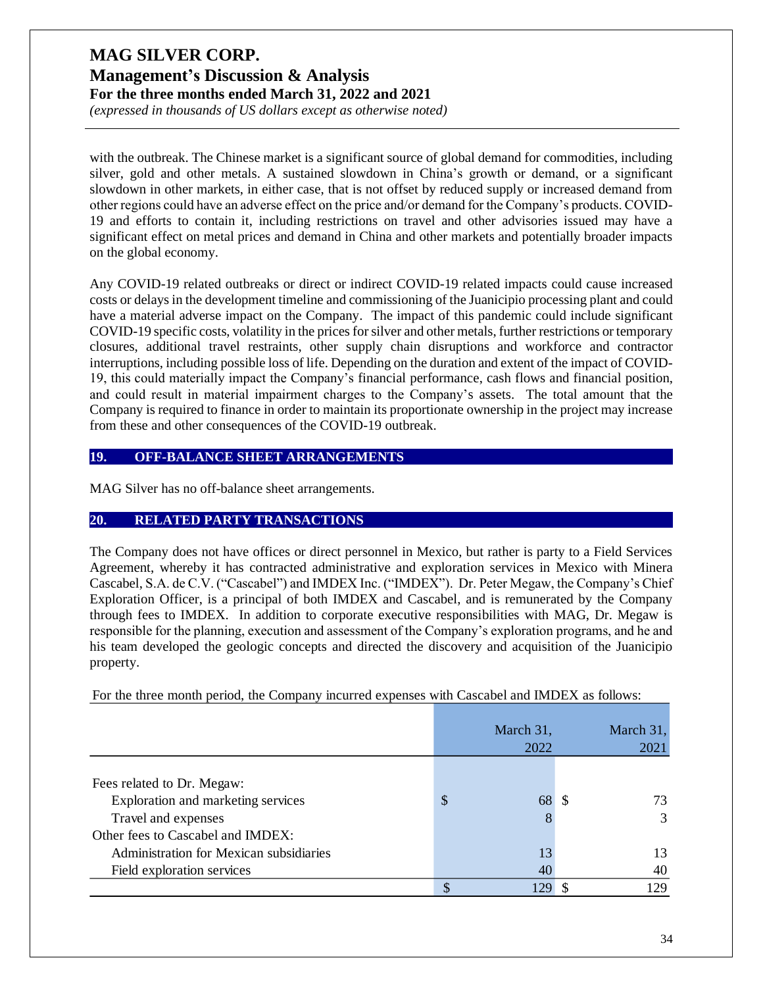*(expressed in thousands of US dollars except as otherwise noted)*

with the outbreak. The Chinese market is a significant source of global demand for commodities, including silver, gold and other metals. A sustained slowdown in China's growth or demand, or a significant slowdown in other markets, in either case, that is not offset by reduced supply or increased demand from other regions could have an adverse effect on the price and/or demand for the Company's products. COVID-19 and efforts to contain it, including restrictions on travel and other advisories issued may have a significant effect on metal prices and demand in China and other markets and potentially broader impacts on the global economy.

Any COVID-19 related outbreaks or direct or indirect COVID-19 related impacts could cause increased costs or delays in the development timeline and commissioning of the Juanicipio processing plant and could have a material adverse impact on the Company. The impact of this pandemic could include significant COVID-19 specific costs, volatility in the prices for silver and other metals, further restrictions or temporary closures, additional travel restraints, other supply chain disruptions and workforce and contractor interruptions, including possible loss of life. Depending on the duration and extent of the impact of COVID-19, this could materially impact the Company's financial performance, cash flows and financial position, and could result in material impairment charges to the Company's assets. The total amount that the Company is required to finance in order to maintain its proportionate ownership in the project may increase from these and other consequences of the COVID-19 outbreak.

#### **19. OFF-BALANCE SHEET ARRANGEMENTS**

MAG Silver has no off-balance sheet arrangements.

#### **20. RELATED PARTY TRANSACTIONS**

The Company does not have offices or direct personnel in Mexico, but rather is party to a Field Services Agreement, whereby it has contracted administrative and exploration services in Mexico with Minera Cascabel, S.A. de C.V. ("Cascabel") and IMDEX Inc. ("IMDEX"). Dr. Peter Megaw, the Company's Chief Exploration Officer, is a principal of both IMDEX and Cascabel, and is remunerated by the Company through fees to IMDEX. In addition to corporate executive responsibilities with MAG, Dr. Megaw is responsible for the planning, execution and assessment of the Company's exploration programs, and he and his team developed the geologic concepts and directed the discovery and acquisition of the Juanicipio property.

For the three month period, the Company incurred expenses with Cascabel and IMDEX as follows:

|                                         | March 31,<br>2022 |     |    | March $31$ ,<br>2021 |
|-----------------------------------------|-------------------|-----|----|----------------------|
|                                         |                   |     |    |                      |
| Fees related to Dr. Megaw:              |                   |     |    |                      |
| Exploration and marketing services      | \$                | 68  | -S | 73                   |
| Travel and expenses                     |                   | 8   |    | 3                    |
| Other fees to Cascabel and IMDEX:       |                   |     |    |                      |
| Administration for Mexican subsidiaries |                   | 13  |    | 13                   |
| Field exploration services              |                   | 40  |    | 40                   |
|                                         | \$                | 129 |    | 129                  |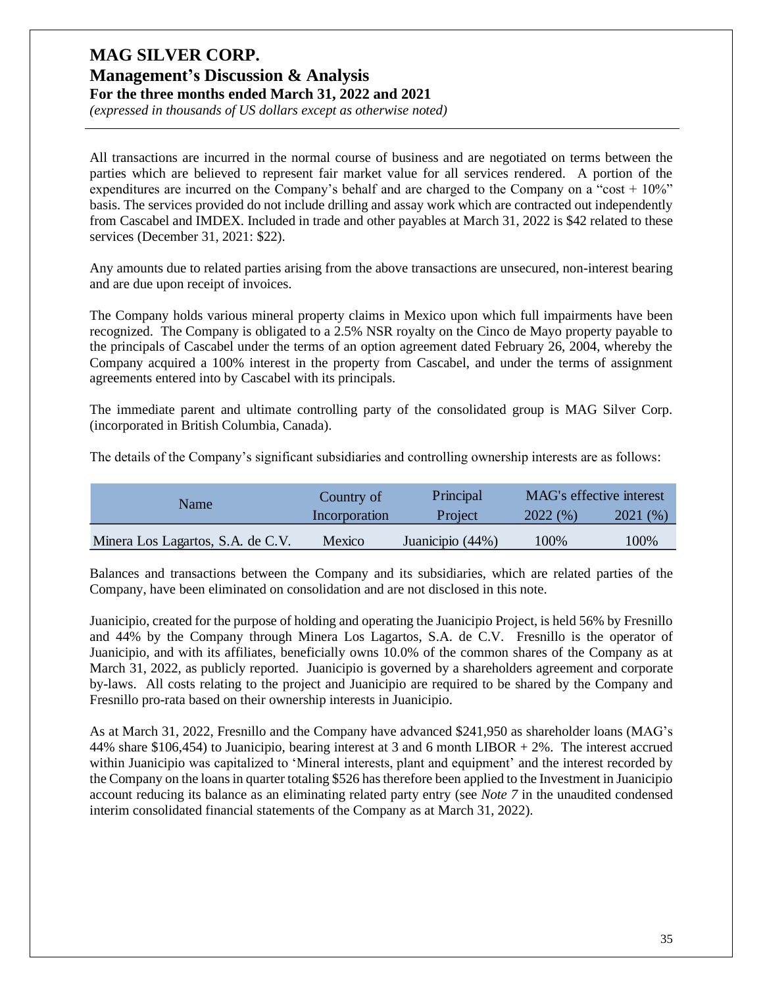*(expressed in thousands of US dollars except as otherwise noted)*

All transactions are incurred in the normal course of business and are negotiated on terms between the parties which are believed to represent fair market value for all services rendered. A portion of the expenditures are incurred on the Company's behalf and are charged to the Company on a "cost  $+10\%$ " basis. The services provided do not include drilling and assay work which are contracted out independently from Cascabel and IMDEX. Included in trade and other payables at March 31, 2022 is \$42 related to these services (December 31, 2021: \$22).

Any amounts due to related parties arising from the above transactions are unsecured, non-interest bearing and are due upon receipt of invoices.

The Company holds various mineral property claims in Mexico upon which full impairments have been recognized. The Company is obligated to a 2.5% NSR royalty on the Cinco de Mayo property payable to the principals of Cascabel under the terms of an option agreement dated February 26, 2004, whereby the Company acquired a 100% interest in the property from Cascabel, and under the terms of assignment agreements entered into by Cascabel with its principals.

The immediate parent and ultimate controlling party of the consolidated group is MAG Silver Corp. (incorporated in British Columbia, Canada).

The details of the Company's significant subsidiaries and controlling ownership interests are as follows:

| Name                              | Country of    | Principal        | MAG's effective interest |         |  |
|-----------------------------------|---------------|------------------|--------------------------|---------|--|
|                                   | Incorporation | Project          | 2022(%)                  | 2021(%) |  |
| Minera Los Lagartos, S.A. de C.V. | Mexico        | Juanicipio (44%) | 100%                     | 100%    |  |

Balances and transactions between the Company and its subsidiaries, which are related parties of the Company, have been eliminated on consolidation and are not disclosed in this note.

Juanicipio, created for the purpose of holding and operating the Juanicipio Project, is held 56% by Fresnillo and 44% by the Company through Minera Los Lagartos, S.A. de C.V. Fresnillo is the operator of Juanicipio, and with its affiliates, beneficially owns 10.0% of the common shares of the Company as at March 31, 2022, as publicly reported. Juanicipio is governed by a shareholders agreement and corporate by-laws. All costs relating to the project and Juanicipio are required to be shared by the Company and Fresnillo pro-rata based on their ownership interests in Juanicipio.

As at March 31, 2022, Fresnillo and the Company have advanced \$241,950 as shareholder loans (MAG's 44% share \$106,454) to Juanicipio, bearing interest at 3 and 6 month LIBOR + 2%. The interest accrued within Juanicipio was capitalized to 'Mineral interests, plant and equipment' and the interest recorded by the Company on the loans in quarter totaling \$526 has therefore been applied to the Investment in Juanicipio account reducing its balance as an eliminating related party entry (see *Note 7* in the unaudited condensed interim consolidated financial statements of the Company as at March 31, 2022).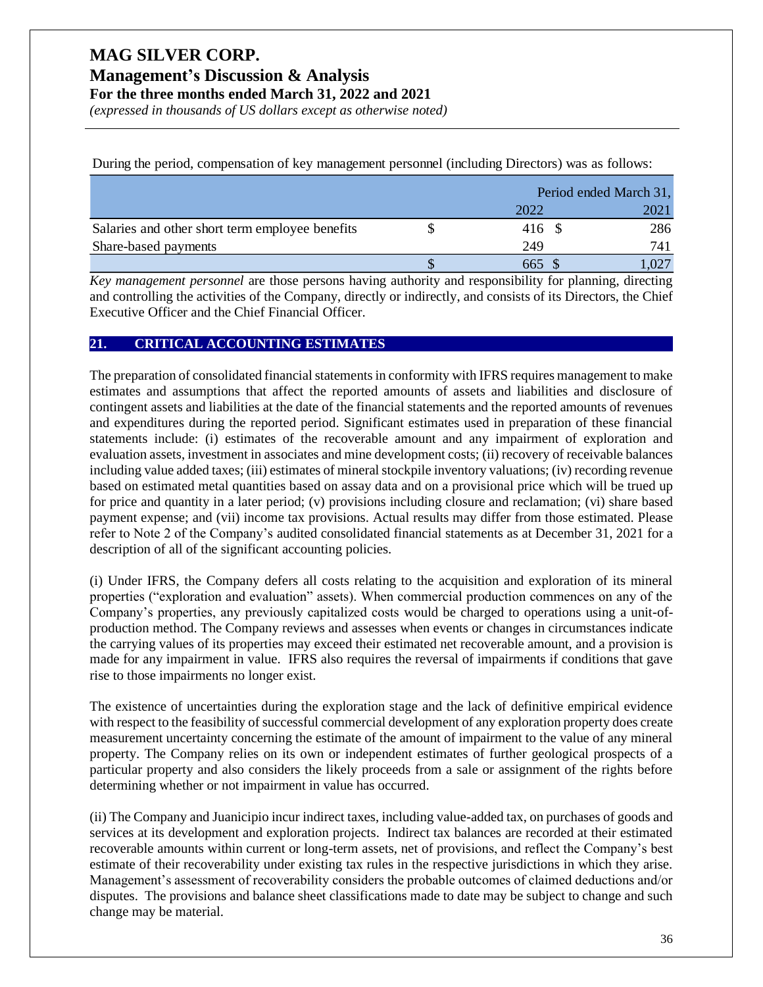# **Management's Discussion & Analysis**

**For the three months ended March 31, 2022 and 2021**

*(expressed in thousands of US dollars except as otherwise noted)*

During the period, compensation of key management personnel (including Directors) was as follows:

|                                                 |        | Period ended March 31, |  |  |
|-------------------------------------------------|--------|------------------------|--|--|
|                                                 | 2022   | 2021                   |  |  |
| Salaries and other short term employee benefits | 416 \$ | 286                    |  |  |
| Share-based payments                            | 249    | 741                    |  |  |
|                                                 | 665    |                        |  |  |

*Key management personnel* are those persons having authority and responsibility for planning, directing and controlling the activities of the Company, directly or indirectly, and consists of its Directors, the Chief Executive Officer and the Chief Financial Officer.

#### **21. CRITICAL ACCOUNTING ESTIMATES**

The preparation of consolidated financial statements in conformity with IFRS requires management to make estimates and assumptions that affect the reported amounts of assets and liabilities and disclosure of contingent assets and liabilities at the date of the financial statements and the reported amounts of revenues and expenditures during the reported period. Significant estimates used in preparation of these financial statements include: (i) estimates of the recoverable amount and any impairment of exploration and evaluation assets, investment in associates and mine development costs; (ii) recovery of receivable balances including value added taxes; (iii) estimates of mineral stockpile inventory valuations; (iv) recording revenue based on estimated metal quantities based on assay data and on a provisional price which will be trued up for price and quantity in a later period; (v) provisions including closure and reclamation; (vi) share based payment expense; and (vii) income tax provisions. Actual results may differ from those estimated. Please refer to Note 2 of the Company's audited consolidated financial statements as at December 31, 2021 for a description of all of the significant accounting policies.

(i) Under IFRS, the Company defers all costs relating to the acquisition and exploration of its mineral properties ("exploration and evaluation" assets). When commercial production commences on any of the Company's properties, any previously capitalized costs would be charged to operations using a unit-ofproduction method. The Company reviews and assesses when events or changes in circumstances indicate the carrying values of its properties may exceed their estimated net recoverable amount, and a provision is made for any impairment in value. IFRS also requires the reversal of impairments if conditions that gave rise to those impairments no longer exist.

The existence of uncertainties during the exploration stage and the lack of definitive empirical evidence with respect to the feasibility of successful commercial development of any exploration property does create measurement uncertainty concerning the estimate of the amount of impairment to the value of any mineral property. The Company relies on its own or independent estimates of further geological prospects of a particular property and also considers the likely proceeds from a sale or assignment of the rights before determining whether or not impairment in value has occurred.

(ii) The Company and Juanicipio incur indirect taxes, including value-added tax, on purchases of goods and services at its development and exploration projects. Indirect tax balances are recorded at their estimated recoverable amounts within current or long-term assets, net of provisions, and reflect the Company's best estimate of their recoverability under existing tax rules in the respective jurisdictions in which they arise. Management's assessment of recoverability considers the probable outcomes of claimed deductions and/or disputes. The provisions and balance sheet classifications made to date may be subject to change and such change may be material.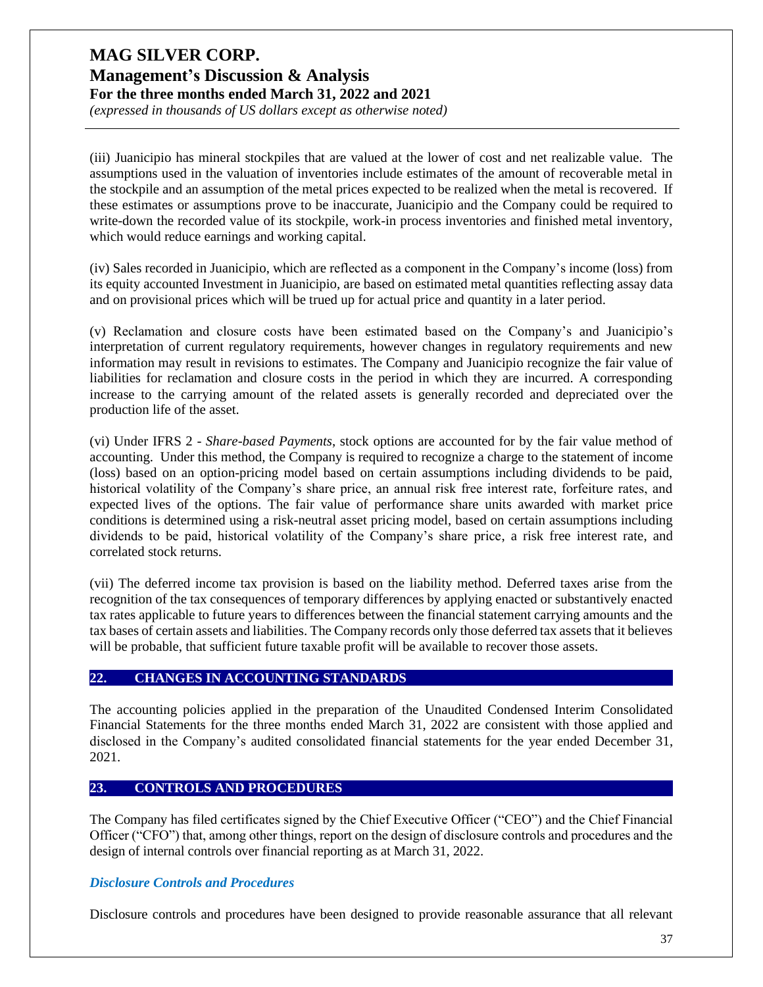*(expressed in thousands of US dollars except as otherwise noted)*

(iii) Juanicipio has mineral stockpiles that are valued at the lower of cost and net realizable value. The assumptions used in the valuation of inventories include estimates of the amount of recoverable metal in the stockpile and an assumption of the metal prices expected to be realized when the metal is recovered. If these estimates or assumptions prove to be inaccurate, Juanicipio and the Company could be required to write-down the recorded value of its stockpile, work-in process inventories and finished metal inventory, which would reduce earnings and working capital.

(iv) Sales recorded in Juanicipio, which are reflected as a component in the Company's income (loss) from its equity accounted Investment in Juanicipio, are based on estimated metal quantities reflecting assay data and on provisional prices which will be trued up for actual price and quantity in a later period.

(v) Reclamation and closure costs have been estimated based on the Company's and Juanicipio's interpretation of current regulatory requirements, however changes in regulatory requirements and new information may result in revisions to estimates. The Company and Juanicipio recognize the fair value of liabilities for reclamation and closure costs in the period in which they are incurred. A corresponding increase to the carrying amount of the related assets is generally recorded and depreciated over the production life of the asset.

(vi) Under IFRS 2 - *Share-based Payments*, stock options are accounted for by the fair value method of accounting. Under this method, the Company is required to recognize a charge to the statement of income (loss) based on an option-pricing model based on certain assumptions including dividends to be paid, historical volatility of the Company's share price, an annual risk free interest rate, forfeiture rates, and expected lives of the options. The fair value of performance share units awarded with market price conditions is determined using a risk-neutral asset pricing model, based on certain assumptions including dividends to be paid, historical volatility of the Company's share price, a risk free interest rate, and correlated stock returns.

(vii) The deferred income tax provision is based on the liability method. Deferred taxes arise from the recognition of the tax consequences of temporary differences by applying enacted or substantively enacted tax rates applicable to future years to differences between the financial statement carrying amounts and the tax bases of certain assets and liabilities. The Company records only those deferred tax assets that it believes will be probable, that sufficient future taxable profit will be available to recover those assets.

#### **22. CHANGES IN ACCOUNTING STANDARDS**

The accounting policies applied in the preparation of the Unaudited Condensed Interim Consolidated Financial Statements for the three months ended March 31, 2022 are consistent with those applied and disclosed in the Company's audited consolidated financial statements for the year ended December 31, 2021.

#### **23. CONTROLS AND PROCEDURES**

The Company has filed certificates signed by the Chief Executive Officer ("CEO") and the Chief Financial Officer ("CFO") that, among other things, report on the design of disclosure controls and procedures and the design of internal controls over financial reporting as at March 31, 2022.

#### *Disclosure Controls and Procedures*

Disclosure controls and procedures have been designed to provide reasonable assurance that all relevant